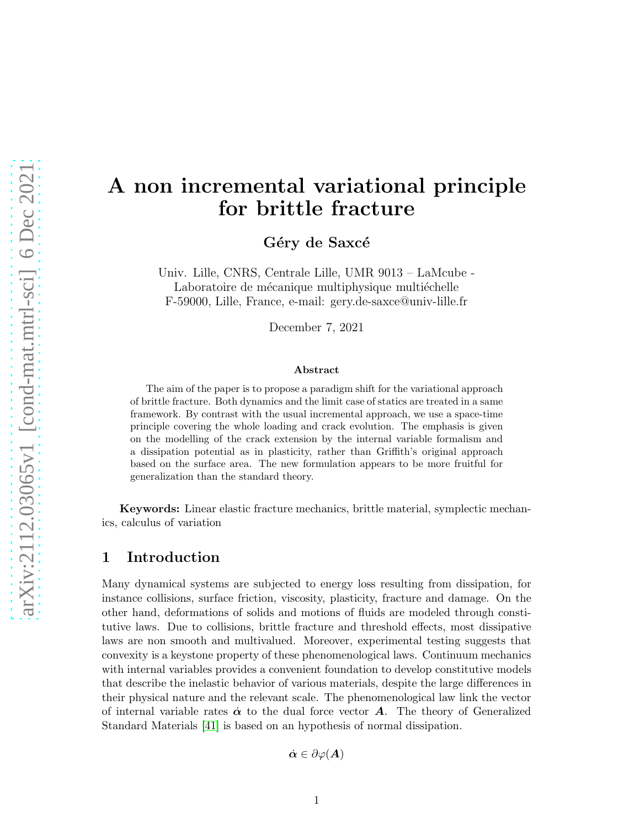# A non incremental variational principle for brittle fracture

Géry de Saxcé

Univ. Lille, CNRS, Centrale Lille, UMR 9013 – LaMcube - Laboratoire de mécanique multiphysique multiéchelle F-59000, Lille, France, e-mail: gery.de-saxce@univ-lille.fr

December 7, 2021

#### Abstract

The aim of the paper is to propose a paradigm shift for the variational approach of brittle fracture. Both dynamics and the limit case of statics are treated in a same framework. By contrast with the usual incremental approach, we use a space-time principle covering the whole loading and crack evolution. The emphasis is given on the modelling of the crack extension by the internal variable formalism and a dissipation potential as in plasticity, rather than Griffith's original approach based on the surface area. The new formulation appears to be more fruitful for generalization than the standard theory.

Keywords: Linear elastic fracture mechanics, brittle material, symplectic mechanics, calculus of variation

## 1 Introduction

Many dynamical systems are subjected to energy loss resulting from dissipation, for instance collisions, surface friction, viscosity, plasticity, fracture and damage. On the other hand, deformations of solids and motions of fluids are modeled through constitutive laws. Due to collisions, brittle fracture and threshold effects, most dissipative laws are non smooth and multivalued. Moreover, experimental testing suggests that convexity is a keystone property of these phenomenological laws. Continuum mechanics with internal variables provides a convenient foundation to develop constitutive models that describe the inelastic behavior of various materials, despite the large differences in their physical nature and the relevant scale. The phenomenological law link the vector of internal variable rates  $\dot{\alpha}$  to the dual force vector **A**. The theory of Generalized Standard Materials [41] is based on an hypothesis of normal dissipation.

 $\dot{\boldsymbol{\alpha}}\in\partial\varphi(\boldsymbol{A})$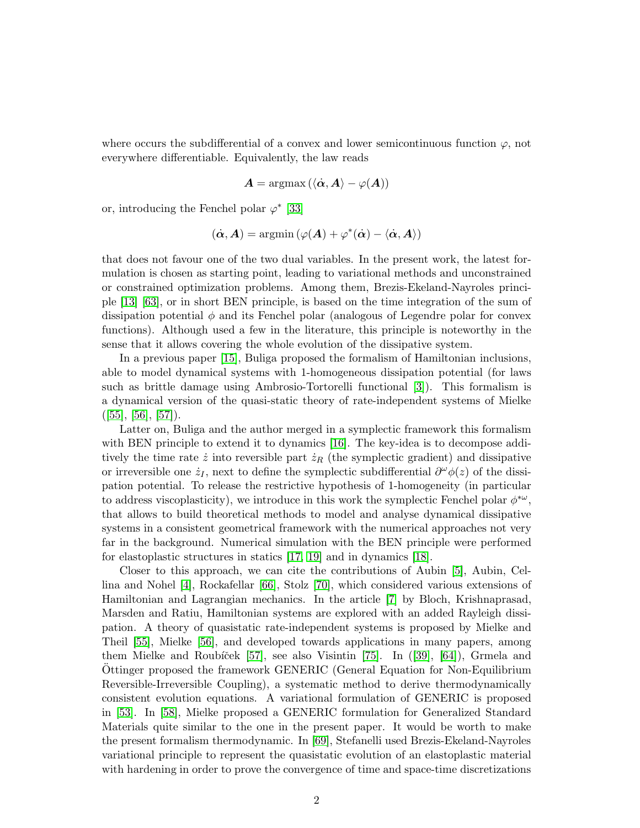where occurs the subdifferential of a convex and lower semicontinuous function  $\varphi$ , not everywhere differentiable. Equivalently, the law reads

$$
\boldsymbol{A} = \operatorname{argmax} \left( \langle \boldsymbol{\dot{\alpha}}, \boldsymbol{A} \rangle - \varphi(\boldsymbol{A}) \right)
$$

or, introducing the Fenchel polar  $\varphi^*$  [33]

$$
(\dot{\boldsymbol{\alpha}}, \boldsymbol{A}) = \operatorname{argmin}{(\varphi(\boldsymbol{A}) + \varphi^*(\dot{\boldsymbol{\alpha}}) - \langle \dot{\boldsymbol{\alpha}}, \boldsymbol{A} \rangle)}
$$

that does not favour one of the two dual variables. In the present work, the latest formulation is chosen as starting point, leading to variational methods and unconstrained or constrained optimization problems. Among them, Brezis-Ekeland-Nayroles principle [13] [63], or in short BEN principle, is based on the time integration of the sum of dissipation potential  $\phi$  and its Fenchel polar (analogous of Legendre polar for convex functions). Although used a few in the literature, this principle is noteworthy in the sense that it allows covering the whole evolution of the dissipative system.

In a previous paper [15], Buliga proposed the formalism of Hamiltonian inclusions, able to model dynamical systems with 1-homogeneous dissipation potential (for laws such as brittle damage using Ambrosio-Tortorelli functional [\[3\]](#page-20-0)). This formalism is a dynamical version of the quasi-static theory of rate-independent systems of Mielke  $([55], [56], [57])$  $([55], [56], [57])$  $([55], [56], [57])$  $([55], [56], [57])$  $([55], [56], [57])$  $([55], [56], [57])$  $([55], [56], [57])$ .

Latter on, Buliga and the author merged in a symplectic framework this formalism with BEN principle to extend it to dynamics [\[16\]](#page-21-0). The key-idea is to decompose additively the time rate  $\dot{z}$  into reversible part  $\dot{z}_R$  (the symplectic gradient) and dissipative or irreversible one  $\dot{z}_I$ , next to define the symplectic subdifferential  $\partial^\omega \phi(z)$  of the dissipation potential. To release the restrictive hypothesis of 1-homogeneity (in particular to address viscoplasticity), we introduce in this work the symplectic Fenchel polar  $\phi^{*\omega}$ , that allows to build theoretical methods to model and analyse dynamical dissipative systems in a consistent geometrical framework with the numerical approaches not very far in the background. Numerical simulation with the BEN principle were performed for elastoplastic structures in statics [17, 19] and in dynamics [18].

Closer to this approach, we can cite the contributions of Aubin [\[5\]](#page-20-1), Aubin, Cellina and Nohel [\[4\]](#page-20-2), Rockafellar [\[66\]](#page-25-0), Stolz [70], which considered various extensions of Hamiltonian and Lagrangian mechanics. In the article [\[7\]](#page-20-3) by Bloch, Krishnaprasad, Marsden and Ratiu, Hamiltonian systems are explored with an added Rayleigh dissipation. A theory of quasistatic rate-independent systems is proposed by Mielke and Theil [\[55\]](#page-24-0), Mielke [\[56\]](#page-24-1), and developed towards applications in many papers, among them Mielke and Roubíček  $[57]$ , see also Visintin  $[75]$ . In  $([39]$ ,  $[64]$ ), Grmela and Ottinger proposed the framework GENERIC (General Equation for Non-Equilibrium Reversible-Irreversible Coupling), a systematic method to derive thermodynamically consistent evolution equations. A variational formulation of GENERIC is proposed in [53]. In [58], Mielke proposed a GENERIC formulation for Generalized Standard Materials quite similar to the one in the present paper. It would be worth to make the present formalism thermodynamic. In [69], Stefanelli used Brezis-Ekeland-Nayroles variational principle to represent the quasistatic evolution of an elastoplastic material with hardening in order to prove the convergence of time and space-time discretizations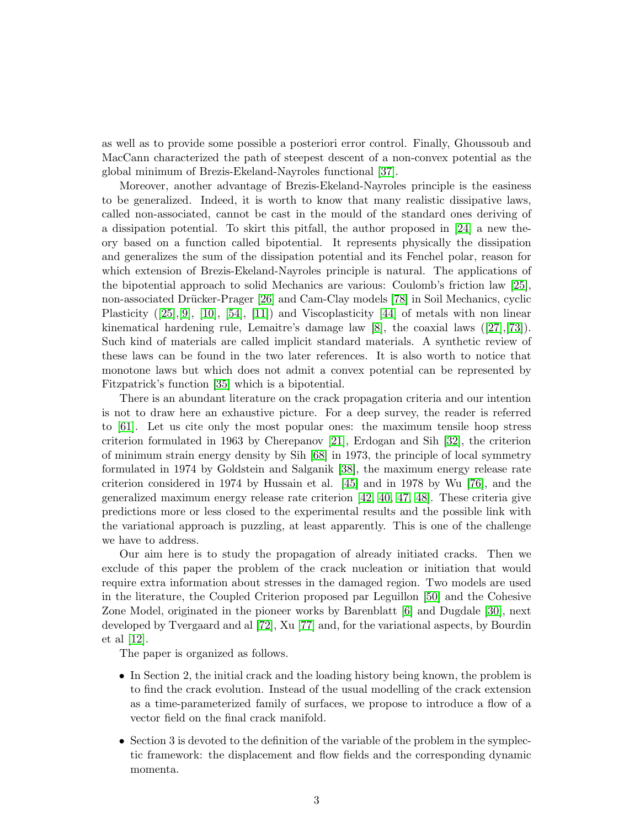as well as to provide some possible a posteriori error control. Finally, Ghoussoub and MacCann characterized the path of steepest descent of a non-convex potential as the global minimum of Brezis-Ekeland-Nayroles functional [37].

Moreover, another advantage of Brezis-Ekeland-Nayroles principle is the easiness to be generalized. Indeed, it is worth to know that many realistic dissipative laws, called non-associated, cannot be cast in the mould of the standard ones deriving of a dissipation potential. To skirt this pitfall, the author proposed in [\[24\]](#page-22-0) a new theory based on a function called bipotential. It represents physically the dissipation and generalizes the sum of the dissipation potential and its Fenchel polar, reason for which extension of Brezis-Ekeland-Nayroles principle is natural. The applications of the bipotential approach to solid Mechanics are various: Coulomb's friction law [25], non-associated Drücker-Prager [26] and Cam-Clay models [78] in Soil Mechanics, cyclic Plasticity ([25],[9], [10], [54], [11]) and Viscoplasticity [44] of metals with non linear kinematical hardening rule, Lemaitre's damage law [\[8\]](#page-21-1), the coaxial laws([\[27\]](#page-22-1),[73]). Such kind of materials are called implicit standard materials. A synthetic review of these laws can be found in the two later references. It is also worth to notice that monotone laws but which does not admit a convex potential can be represented by Fitzpatrick's function [35] which is a bipotential.

There is an abundant literature on the crack propagation criteria and our intention is not to draw here an exhaustive picture. For a deep survey, the reader is referred to [61]. Let us cite only the most popular ones: the maximum tensile hoop stress criterion formulated in 1963 by Cherepanov [21], Erdogan and Sih [32], the criterion of minimum strain energy density by Sih [68] in 1973, the principle of local symmetry formulated in 1974 by Goldstein and Salganik [38], the maximum energy release rate criterion considered in 1974 by Hussain et al. [45] and in 1978 by Wu [76], and the generalized maximum energy release rate criterion [42, 40, 47, 48]. These criteria give predictions more or less closed to the experimental results and the possible link with the variational approach is puzzling, at least apparently. This is one of the challenge we have to address.

Our aim here is to study the propagation of already initiated cracks. Then we exclude of this paper the problem of the crack nucleation or initiation that would require extra information about stresses in the damaged region. Two models are used in the literature, the Coupled Criterion proposed par Leguillon [50] and the Cohesive Zone Model, originated in the pioneer works by Barenblatt [6] and Dugdale [30], next developed by Tvergaard and al [72], Xu [77] and, for the variational aspects, by Bourdin et al [12].

The paper is organized as follows.

- In Section 2, the initial crack and the loading history being known, the problem is to find the crack evolution. Instead of the usual modelling of the crack extension as a time-parameterized family of surfaces, we propose to introduce a flow of a vector field on the final crack manifold.
- Section 3 is devoted to the definition of the variable of the problem in the symplectic framework: the displacement and flow fields and the corresponding dynamic momenta.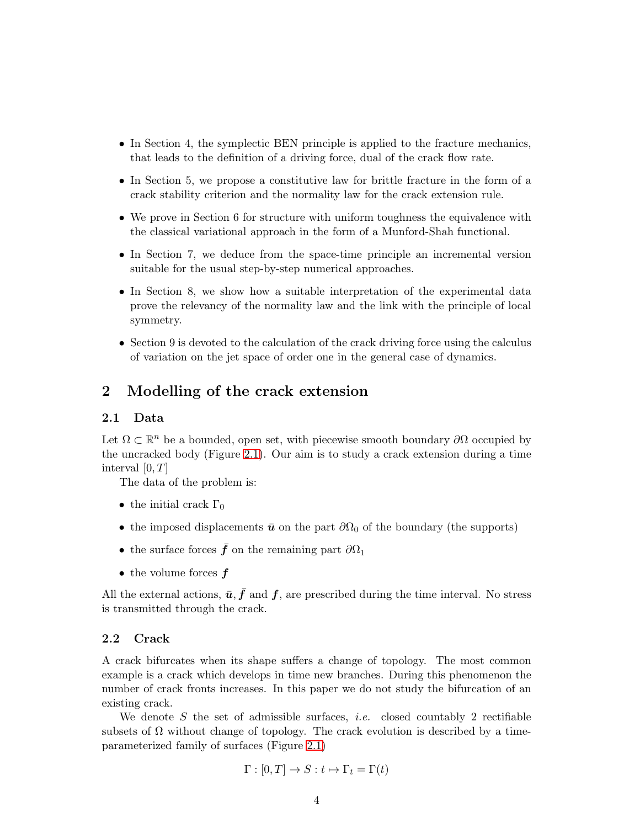- In Section 4, the symplectic BEN principle is applied to the fracture mechanics, that leads to the definition of a driving force, dual of the crack flow rate.
- In Section 5, we propose a constitutive law for brittle fracture in the form of a crack stability criterion and the normality law for the crack extension rule.
- We prove in Section 6 for structure with uniform toughness the equivalence with the classical variational approach in the form of a Munford-Shah functional.
- In Section 7, we deduce from the space-time principle an incremental version suitable for the usual step-by-step numerical approaches.
- In Section 8, we show how a suitable interpretation of the experimental data prove the relevancy of the normality law and the link with the principle of local symmetry.
- Section 9 is devoted to the calculation of the crack driving force using the calculus of variation on the jet space of order one in the general case of dynamics.

## 2 Modelling of the crack extension

#### 2.1 Data

Let  $\Omega \subset \mathbb{R}^n$  be a bounded, open set, with piecewise smooth boundary  $\partial \Omega$  occupied by the uncracked body (Figure [2.1\)](#page-4-0). Our aim is to study a crack extension during a time interval  $[0, T]$ 

The data of the problem is:

- the initial crack  $\Gamma_0$
- the imposed displacements  $\bar{u}$  on the part  $\partial\Omega_0$  of the boundary (the supports)
- the surface forces  $\bar{f}$  on the remaining part  $\partial\Omega_1$
- the volume forces  $f$

All the external actions,  $\bar{u}, \bar{f}$  and  $f$ , are prescribed during the time interval. No stress is transmitted through the crack.

#### <span id="page-3-0"></span>2.2 Crack

A crack bifurcates when its shape suffers a change of topology. The most common example is a crack which develops in time new branches. During this phenomenon the number of crack fronts increases. In this paper we do not study the bifurcation of an existing crack.

We denote S the set of admissible surfaces, *i.e.* closed countably 2 rectifiable subsets of  $\Omega$  without change of topology. The crack evolution is described by a timeparameterized family of surfaces (Figure [2.1\)](#page-4-0)

$$
\Gamma : [0, T] \to S : t \mapsto \Gamma_t = \Gamma(t)
$$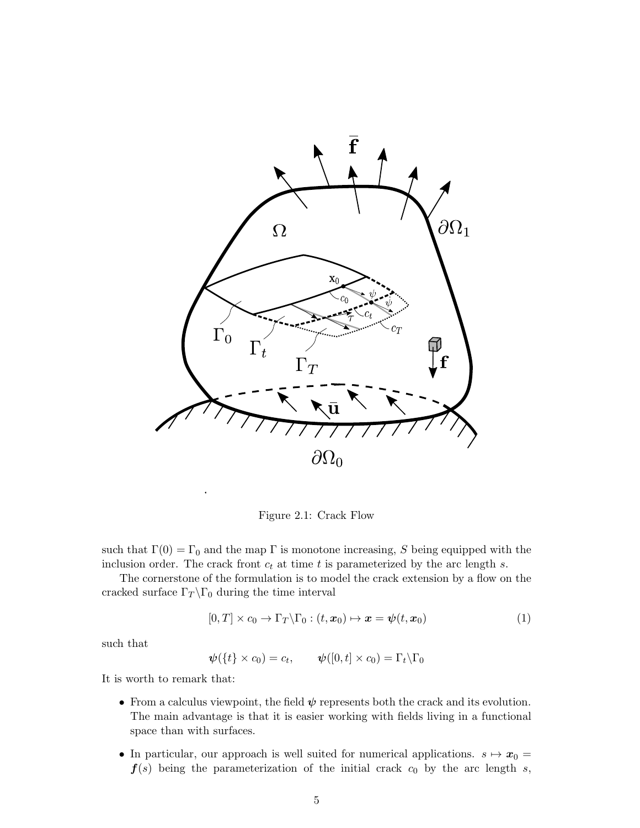

<span id="page-4-0"></span>Figure 2.1: Crack Flow

such that  $\Gamma(0) = \Gamma_0$  and the map  $\Gamma$  is monotone increasing, S being equipped with the inclusion order. The crack front  $c_t$  at time t is parameterized by the arc length s.

The cornerstone of the formulation is to model the crack extension by a flow on the cracked surface  $\Gamma_T \backslash \Gamma_0$  during the time interval

$$
[0,T] \times c_0 \to \Gamma_T \backslash \Gamma_0 : (t, x_0) \mapsto x = \psi(t, x_0)
$$
 (1)

such that

 $\boldsymbol{\psi}(\{t\} \times c_0) = c_t, \qquad \boldsymbol{\psi}([0,t] \times c_0) = \Gamma_t \backslash \Gamma_0$ 

It is worth to remark that:

- From a calculus viewpoint, the field  $\psi$  represents both the crack and its evolution. The main advantage is that it is easier working with fields living in a functional space than with surfaces.
- In particular, our approach is well suited for numerical applications.  $s \mapsto x_0 =$  $f(s)$  being the parameterization of the initial crack  $c_0$  by the arc length s,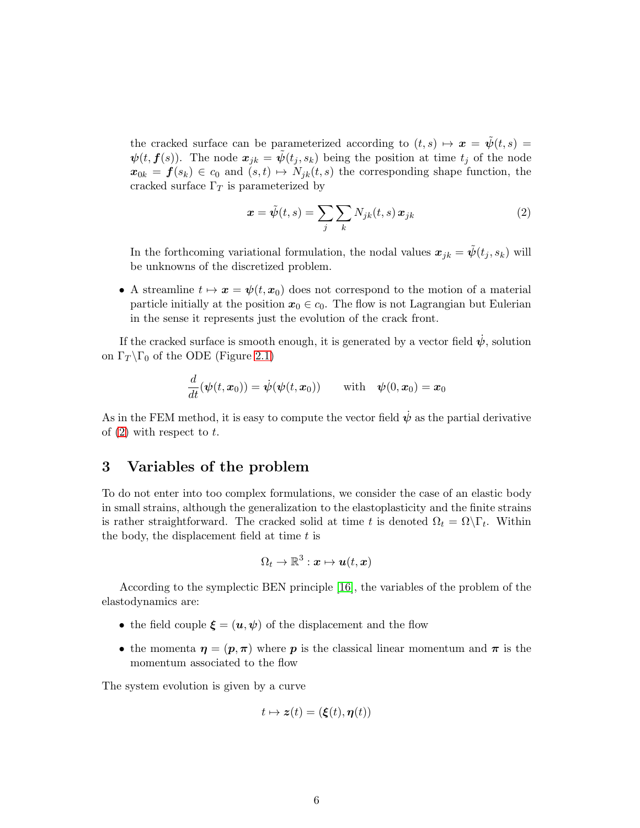the cracked surface can be parameterized according to  $(t, s) \mapsto x = \tilde{\psi}(t, s) =$  $\psi(t, f(s))$ . The node  $x_{jk} = \tilde{\psi}(t_j, s_k)$  being the position at time  $t_j$  of the node  $x_{0k} = f(s_k) \in c_0$  and  $(s, t) \mapsto N_{jk}(t, s)$  the corresponding shape function, the cracked surface  $\Gamma_T$  is parameterized by

<span id="page-5-0"></span>
$$
\boldsymbol{x} = \tilde{\psi}(t,s) = \sum_{j} \sum_{k} N_{jk}(t,s) \, \boldsymbol{x}_{jk} \tag{2}
$$

In the forthcoming variational formulation, the nodal values  $\mathbf{x}_{jk} = \psi(t_j, s_k)$  will be unknowns of the discretized problem.

• A streamline  $t \mapsto x = \psi(t,x_0)$  does not correspond to the motion of a material particle initially at the position  $x_0 \in c_0$ . The flow is not Lagrangian but Eulerian in the sense it represents just the evolution of the crack front.

If the cracked surface is smooth enough, it is generated by a vector field  $\dot{\psi}$ , solution on  $\Gamma_T \backslash \Gamma_0$  of the ODE (Figure [2.1\)](#page-4-0)

$$
\frac{d}{dt}(\boldsymbol{\psi}(t,\boldsymbol{x}_0)) = \dot{\boldsymbol{\psi}}(\boldsymbol{\psi}(t,\boldsymbol{x}_0)) \qquad \text{with} \quad \boldsymbol{\psi}(0,\boldsymbol{x}_0) = \boldsymbol{x}_0
$$

As in the FEM method, it is easy to compute the vector field  $\dot{\psi}$  as the partial derivative of  $(2)$  with respect to t.

## 3 Variables of the problem

To do not enter into too complex formulations, we consider the case of an elastic body in small strains, although the generalization to the elastoplasticity and the finite strains is rather straightforward. The cracked solid at time t is denoted  $\Omega_t = \Omega \backslash \Gamma_t$ . Within the body, the displacement field at time  $t$  is

$$
\Omega_t \to \mathbb{R}^3: \boldsymbol{x} \mapsto \boldsymbol{u}(t, \boldsymbol{x})
$$

According to the symplectic BEN principle [\[16\]](#page-21-0), the variables of the problem of the elastodynamics are:

- the field couple  $\xi = (u, \psi)$  of the displacement and the flow
- the momenta  $\eta = (p, \pi)$  where p is the classical linear momentum and  $\pi$  is the momentum associated to the flow

The system evolution is given by a curve

$$
t \mapsto \boldsymbol{z}(t) = (\boldsymbol{\xi}(t), \boldsymbol{\eta}(t))
$$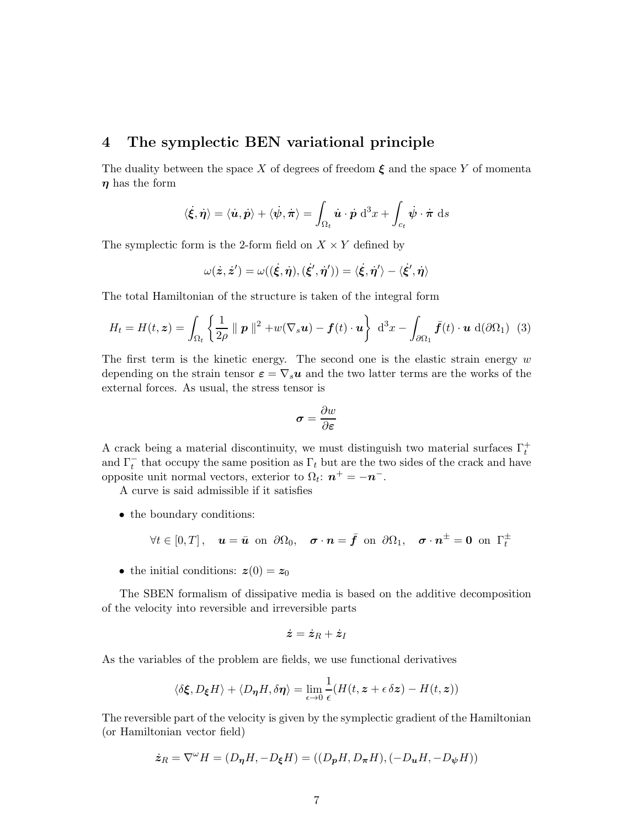## 4 The symplectic BEN variational principle

The duality between the space X of degrees of freedom  $\xi$  and the space Y of momenta  $\eta$  has the form

$$
\langle \dot{\xi}, \dot{\eta} \rangle = \langle \dot{u}, \dot{p} \rangle + \langle \dot{\psi}, \dot{\pi} \rangle = \int_{\Omega_t} \dot{u} \cdot \dot{p} \, d^3x + \int_{c_t} \dot{\psi} \cdot \dot{\pi} \, ds
$$

The symplectic form is the 2-form field on  $X \times Y$  defined by

$$
\omega(\dot{z},\dot{z}') = \omega((\dot{\xi},\dot{\eta}),(\dot{\xi}',\dot{\eta}')) = \langle \dot{\xi},\dot{\eta}'\rangle - \langle \dot{\xi}',\dot{\eta}\rangle
$$

The total Hamiltonian of the structure is taken of the integral form

<span id="page-6-0"></span>
$$
H_t = H(t, \mathbf{z}) = \int_{\Omega_t} \left\{ \frac{1}{2\rho} \parallel \mathbf{p} \parallel^2 + w(\nabla_s \mathbf{u}) - \mathbf{f}(t) \cdot \mathbf{u} \right\} d^3x - \int_{\partial \Omega_1} \bar{\mathbf{f}}(t) \cdot \mathbf{u} d(\partial \Omega_1) \tag{3}
$$

The first term is the kinetic energy. The second one is the elastic strain energy  $w$ depending on the strain tensor  $\varepsilon = \nabla_s u$  and the two latter terms are the works of the external forces. As usual, the stress tensor is

$$
\boldsymbol{\sigma} = \frac{\partial w}{\partial \boldsymbol{\varepsilon}}
$$

A crack being a material discontinuity, we must distinguish two material surfaces  $\Gamma_t^+$ and  $\Gamma_t^-$  that occupy the same position as  $\Gamma_t$  but are the two sides of the crack and have opposite unit normal vectors, exterior to  $\Omega_t$ :  $n^+ = -n^-$ .

A curve is said admissible if it satisfies

• the boundary conditions:

$$
\forall t \in [0, T], \quad \mathbf{u} = \bar{\mathbf{u}} \text{ on } \partial \Omega_0, \quad \sigma \cdot \mathbf{n} = \bar{\mathbf{f}} \text{ on } \partial \Omega_1, \quad \sigma \cdot \mathbf{n}^{\pm} = \mathbf{0} \text{ on } \Gamma_t^{\pm}
$$

• the initial conditions:  $z(0) = z_0$ 

The SBEN formalism of dissipative media is based on the additive decomposition of the velocity into reversible and irreversible parts

$$
\dot{\bm{z}}=\dot{\bm{z}}_R+\dot{\bm{z}}_I
$$

As the variables of the problem are fields, we use functional derivatives

$$
\langle \delta \xi, D_{\xi} H \rangle + \langle D_{\eta} H, \delta \eta \rangle = \lim_{\epsilon \to 0} \frac{1}{\epsilon} (H(t, z + \epsilon \delta z) - H(t, z))
$$

The reversible part of the velocity is given by the symplectic gradient of the Hamiltonian (or Hamiltonian vector field)

$$
\dot{\pmb{z}}_R = \nabla^\omega H = (D_{\pmb{\eta}} H, -D_{\pmb{\xi}} H) = ((D_{\pmb{p}} H, D_{\pmb{\pi}} H), (-D_{\pmb{u}} H, -D_{\pmb{\psi}} H))
$$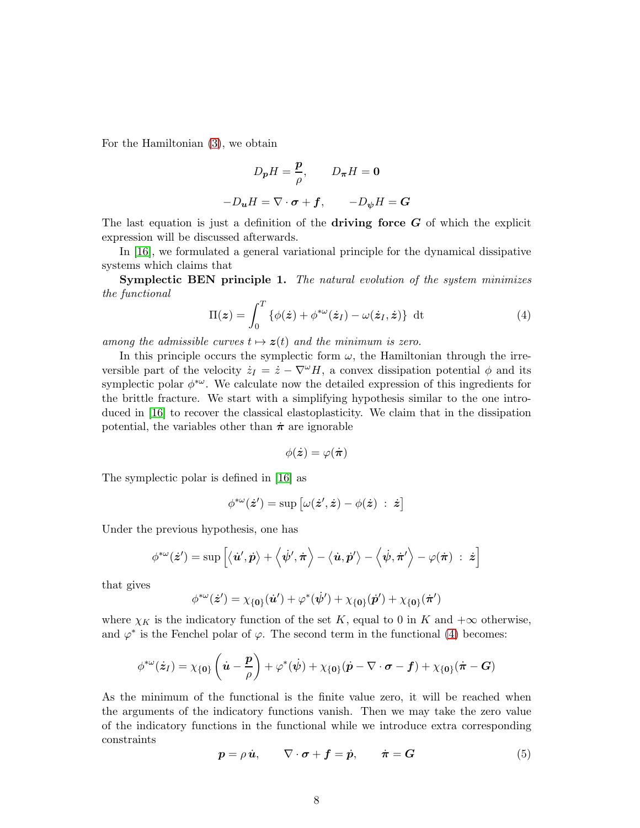For the Hamiltonian [\(3\)](#page-6-0), we obtain

$$
D_{p}H = \frac{p}{\rho}, \qquad D_{\pi}H = 0
$$

$$
-D_{u}H = \nabla \cdot \sigma + f, \qquad -D_{\psi}H = G
$$

The last equation is just a definition of the **driving force**  $G$  of which the explicit expression will be discussed afterwards.

In [\[16\]](#page-21-0), we formulated a general variational principle for the dynamical dissipative systems which claims that

Symplectic BEN principle 1. The natural evolution of the system minimizes the functional

<span id="page-7-0"></span>
$$
\Pi(z) = \int_0^T \{ \phi(\dot{z}) + \phi^{*\omega}(\dot{z}_I) - \omega(\dot{z}_I, \dot{z}) \} dt
$$
 (4)

among the admissible curves  $t \mapsto z(t)$  and the minimum is zero.

In this principle occurs the symplectic form  $\omega$ , the Hamiltonian through the irreversible part of the velocity  $\dot{z}_I = \dot{z} - \nabla^{\omega} H$ , a convex dissipation potential  $\phi$  and its symplectic polar  $\phi^{*\omega}$ . We calculate now the detailed expression of this ingredients for the brittle fracture. We start with a simplifying hypothesis similar to the one introduced in [\[16\]](#page-21-0) to recover the classical elastoplasticity. We claim that in the dissipation potential, the variables other than  $\dot{\pi}$  are ignorable

$$
\phi(\dot{\bm{z}}) = \varphi(\dot{\bm{\pi}})
$$

The symplectic polar is defined in [\[16\]](#page-21-0) as

$$
\phi^{*\omega}(\dot{\bm{z}}') = \sup \big[\omega(\dot{\bm{z}}',\dot{\bm{z}}) - \phi(\dot{\bm{z}}) \; : \; \dot{\bm{z}}\big]
$$

Under the previous hypothesis, one has

$$
\phi^{*\omega}(\dot{\bm{z}}')=\sup\left[\big<\dot{\bm{u}}',\dot{\bm{p}}\big>+\Big<\dot{\psi}',\dot{\bm{\pi}}\Big>-\big<\dot{\bm{u}},\dot{\bm{p}}'\big>-\Big<\dot{\psi},\dot{\bm{\pi}}'\Big>-\varphi(\dot{\bm{\pi}})\;:\;\dot{\bm{z}}\right]
$$

that gives

$$
\phi^{*\omega}(\dot{\mathbf{z}}') = \chi_{\{\mathbf{0}\}}(\dot{\mathbf{u}}') + \varphi^*(\dot{\psi}') + \chi_{\{\mathbf{0}\}}(\dot{\mathbf{p}}') + \chi_{\{\mathbf{0}\}}(\dot{\boldsymbol{\pi}}')
$$

where  $\chi_K$  is the indicatory function of the set K, equal to 0 in K and  $+\infty$  otherwise, and  $\varphi^*$  is the Fenchel polar of  $\varphi$ . The second term in the functional [\(4\)](#page-7-0) becomes:

$$
\phi^{*\omega}(\dot{z}_I) = \chi_{\{0\}}\left(\dot{u} - \frac{p}{\rho}\right) + \varphi^*(\dot{\psi}) + \chi_{\{0\}}(\dot{p} - \nabla \cdot \boldsymbol{\sigma} - \boldsymbol{f}) + \chi_{\{0\}}(\dot{\boldsymbol{\pi}} - \boldsymbol{G})
$$

As the minimum of the functional is the finite value zero, it will be reached when the arguments of the indicatory functions vanish. Then we may take the zero value of the indicatory functions in the functional while we introduce extra corresponding constraints

<span id="page-7-1"></span>
$$
p = \rho \dot{u}, \qquad \nabla \cdot \sigma + f = \dot{p}, \qquad \dot{\pi} = G \tag{5}
$$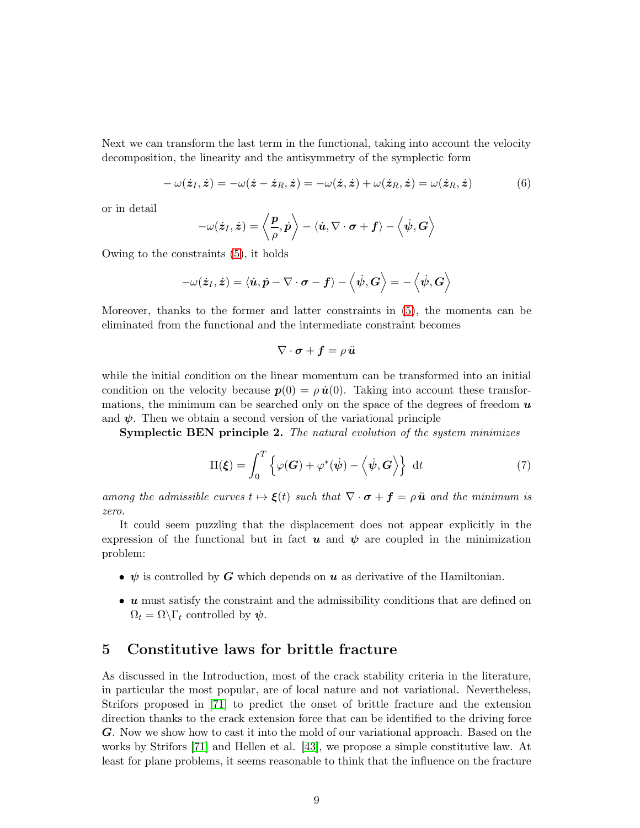Next we can transform the last term in the functional, taking into account the velocity decomposition, the linearity and the antisymmetry of the symplectic form

<span id="page-8-0"></span>
$$
-\omega(\dot{z}_I,\dot{z})=-\omega(\dot{z}-\dot{z}_R,\dot{z})=-\omega(\dot{z},\dot{z})+\omega(\dot{z}_R,\dot{z})=\omega(\dot{z}_R,\dot{z})
$$
(6)

or in detail

$$
-\omega(\dot{\boldsymbol{z}}_I, \dot{\boldsymbol{z}}) = \left\langle \frac{\boldsymbol{p}}{\rho}, \dot{\boldsymbol{p}} \right\rangle - \left\langle \dot{\boldsymbol{u}}, \nabla \cdot \boldsymbol{\sigma} + \boldsymbol{f} \right\rangle - \left\langle \dot{\boldsymbol{\psi}}, \boldsymbol{G} \right\rangle
$$

Owing to the constraints [\(5\)](#page-7-1), it holds

$$
-\omega(\dot{\boldsymbol{z}}_I, \dot{\boldsymbol{z}}) = \langle \dot{\boldsymbol{u}}, \dot{\boldsymbol{p}} - \nabla \cdot \boldsymbol{\sigma} - \boldsymbol{f} \rangle - \left\langle \dot{\boldsymbol{\psi}}, \boldsymbol{G} \right\rangle = -\left\langle \dot{\boldsymbol{\psi}}, \boldsymbol{G} \right\rangle
$$

Moreover, thanks to the former and latter constraints in [\(5\)](#page-7-1), the momenta can be eliminated from the functional and the intermediate constraint becomes

$$
\nabla\cdot\boldsymbol{\sigma}+\boldsymbol{f}=\rho\,\ddot{\boldsymbol{u}}
$$

while the initial condition on the linear momentum can be transformed into an initial condition on the velocity because  $p(0) = \rho \dot{u}(0)$ . Taking into account these transformations, the minimum can be searched only on the space of the degrees of freedom  $\boldsymbol{u}$ and  $\psi$ . Then we obtain a second version of the variational principle

Symplectic BEN principle 2. The natural evolution of the system minimizes

$$
\Pi(\boldsymbol{\xi}) = \int_0^T \left\{ \varphi(\boldsymbol{G}) + \varphi^*(\dot{\boldsymbol{\psi}}) - \left\langle \dot{\boldsymbol{\psi}}, \boldsymbol{G} \right\rangle \right\} dt \tag{7}
$$

among the admissible curves  $t \mapsto \xi(t)$  such that  $\nabla \cdot \boldsymbol{\sigma} + \boldsymbol{f} = \rho \ddot{\boldsymbol{u}}$  and the minimum is zero.

It could seem puzzling that the displacement does not appear explicitly in the expression of the functional but in fact  $\boldsymbol{u}$  and  $\boldsymbol{\psi}$  are coupled in the minimization problem:

- $\psi$  is controlled by G which depends on u as derivative of the Hamiltonian.
- u must satisfy the constraint and the admissibility conditions that are defined on  $\Omega_t = \Omega \backslash \Gamma_t$  controlled by  $\psi$ .

## 5 Constitutive laws for brittle fracture

As discussed in the Introduction, most of the crack stability criteria in the literature, in particular the most popular, are of local nature and not variational. Nevertheless, Strifors proposed in [71] to predict the onset of brittle fracture and the extension direction thanks to the crack extension force that can be identified to the driving force G. Now we show how to cast it into the mold of our variational approach. Based on the works by Strifors [71] and Hellen et al. [43], we propose a simple constitutive law. At least for plane problems, it seems reasonable to think that the influence on the fracture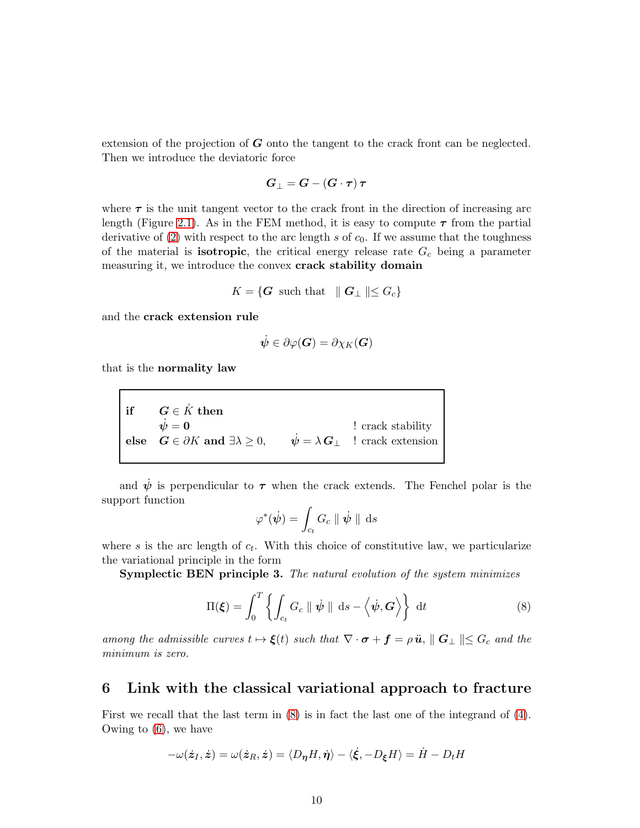extension of the projection of  $G$  onto the tangent to the crack front can be neglected. Then we introduce the deviatoric force

$$
G_{\perp}=G-\left(G\cdot\tau\right)\tau
$$

where  $\tau$  is the unit tangent vector to the crack front in the direction of increasing arc length (Figure [2.1\)](#page-4-0). As in the FEM method, it is easy to compute  $\tau$  from the partial derivative of [\(2\)](#page-5-0) with respect to the arc length s of  $c_0$ . If we assume that the toughness of the material is **isotropic**, the critical energy release rate  $G_c$  being a parameter measuring it, we introduce the convex crack stability domain

$$
K = \{ \mathbf{G} \text{ such that } \| \mathbf{G}_{\perp} \| \leq G_c \}
$$

and the crack extension rule

$$
\dot{\boldsymbol{\psi}} \in \partial \varphi(\boldsymbol{G}) = \partial \chi_K(\boldsymbol{G})
$$

that is the normality law

 $\begin{array}{lll} \text{if }& G\in \mathring{K} \text{ then } \ &\dot{\psi}=0 \end{array}$  $\dot{\psi} = 0$  ! crack stability else  $G \in \partial K$  and  $\exists \lambda \geq 0$ ,  $\dot{\psi} = \lambda \mathbf{G}_{\perp}$  ! crack extension

and  $\dot{\psi}$  is perpendicular to  $\tau$  when the crack extends. The Fenchel polar is the support function

$$
\varphi^*(\dot{\psi}) = \int_{c_t} G_c \parallel \dot{\psi} \parallel \mathrm{d}s
$$

where s is the arc length of  $c_t$ . With this choice of constitutive law, we particularize the variational principle in the form

Symplectic BEN principle 3. The natural evolution of the system minimizes

<span id="page-9-0"></span>
$$
\Pi(\boldsymbol{\xi}) = \int_0^T \left\{ \int_{c_t} G_c \parallel \boldsymbol{\psi} \parallel \mathrm{d}s - \left\langle \boldsymbol{\psi}, \boldsymbol{G} \right\rangle \right\} \mathrm{d}t \tag{8}
$$

among the admissible curves  $t \mapsto \xi(t)$  such that  $\nabla \cdot \boldsymbol{\sigma} + \boldsymbol{f} = \rho \ddot{\boldsymbol{u}}, ||\boldsymbol{G}_{\perp}|| \leq G_c$  and the minimum is zero.

### 6 Link with the classical variational approach to fracture

First we recall that the last term in [\(8\)](#page-9-0) is in fact the last one of the integrand of [\(4\)](#page-7-0). Owing to [\(6\)](#page-8-0), we have

$$
-\omega(\dot{\boldsymbol{z}}_I,\dot{\boldsymbol{z}})=\omega(\dot{\boldsymbol{z}}_R,\dot{\boldsymbol{z}})=\langle D_{\boldsymbol{\eta}} H,\dot{\boldsymbol{\eta}}\rangle-\langle \dot{\boldsymbol{\xi}},-D_{\boldsymbol{\xi}} H\rangle=\dot{H}-D_t H
$$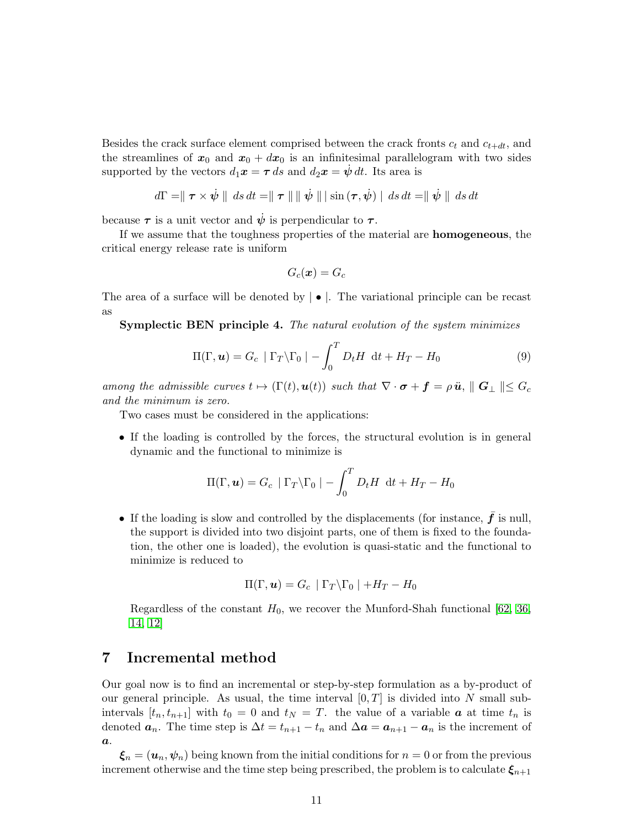Besides the crack surface element comprised between the crack fronts  $c_t$  and  $c_{t+dt}$ , and the streamlines of  $x_0$  and  $x_0 + dx_0$  is an infinitesimal parallelogram with two sides supported by the vectors  $d_1x = \tau ds$  and  $d_2x = \dot{\psi} dt$ . Its area is

$$
d\Gamma = || \tau \times \dot{\psi} || ds dt = || \tau || || \dot{\psi} || \sin (\tau, \dot{\psi}) || ds dt = || \dot{\psi} || ds dt
$$

because  $\tau$  is a unit vector and  $\dot{\psi}$  is perpendicular to  $\tau$ .

If we assume that the toughness properties of the material are homogeneous, the critical energy release rate is uniform

$$
G_c(\boldsymbol{x})=G_c
$$

The area of a surface will be denoted by  $\bullet$ . The variational principle can be recast as

Symplectic BEN principle 4. The natural evolution of the system minimizes

$$
\Pi(\Gamma, \boldsymbol{u}) = G_c \mid \Gamma_T \backslash \Gamma_0 \mid - \int_0^T D_t H \, dt + H_T - H_0 \tag{9}
$$

among the admissible curves  $t \mapsto (\Gamma(t), u(t))$  such that  $\nabla \cdot \boldsymbol{\sigma} + \boldsymbol{f} = \rho \ddot{\boldsymbol{u}}, ||\boldsymbol{G}_{\perp}|| \leq G_c$ and the minimum is zero.

Two cases must be considered in the applications:

• If the loading is controlled by the forces, the structural evolution is in general dynamic and the functional to minimize is

$$
\Pi(\Gamma, \boldsymbol{u}) = G_c | \Gamma_T \backslash \Gamma_0 | - \int_0^T D_t H \, dt + H_T - H_0
$$

• If the loading is slow and controlled by the displacements (for instance,  $\bar{f}$  is null, the support is divided into two disjoint parts, one of them is fixed to the foundation, the other one is loaded), the evolution is quasi-static and the functional to minimize is reduced to

$$
\Pi(\Gamma, \boldsymbol{u}) = G_c \mid \Gamma_T \backslash \Gamma_0 \mid +H_T - H_0
$$

Regardless of the constant  $H_0$ , we recover the Munford-Shah functional [62, 36, 14, 12]

## 7 Incremental method

Our goal now is to find an incremental or step-by-step formulation as a by-product of our general principle. As usual, the time interval  $[0, T]$  is divided into N small subintervals  $[t_n, t_{n+1}]$  with  $t_0 = 0$  and  $t_N = T$ . the value of a variable  $\boldsymbol{a}$  at time  $t_n$  is denoted  $a_n$ . The time step is  $\Delta t = t_{n+1} - t_n$  and  $\Delta a = a_{n+1} - a_n$  is the increment of  $\boldsymbol{a}$ .

 $\xi_n = (\boldsymbol{u}_n, \boldsymbol{\psi}_n)$  being known from the initial conditions for  $n = 0$  or from the previous increment otherwise and the time step being prescribed, the problem is to calculate  $\xi_{n+1}$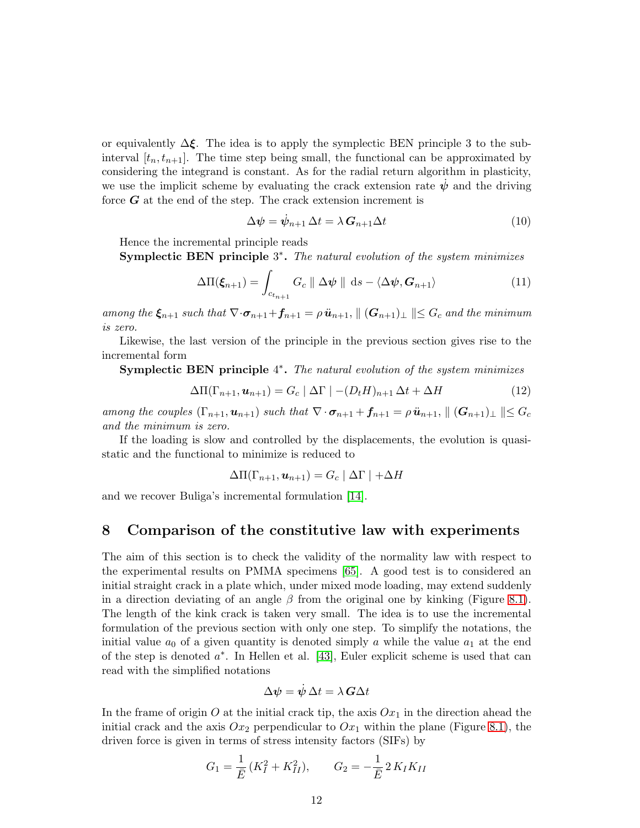or equivalently  $\Delta \xi$ . The idea is to apply the symplectic BEN principle 3 to the subinterval  $[t_n, t_{n+1}]$ . The time step being small, the functional can be approximated by considering the integrand is constant. As for the radial return algorithm in plasticity, we use the implicit scheme by evaluating the crack extension rate  $\psi$  and the driving force  $G$  at the end of the step. The crack extension increment is

<span id="page-11-0"></span>
$$
\Delta \psi = \dot{\psi}_{n+1} \, \Delta t = \lambda \, G_{n+1} \Delta t \tag{10}
$$

Hence the incremental principle reads

Symplectic BEN principle 3<sup>\*</sup>. The natural evolution of the system minimizes

$$
\Delta \Pi(\boldsymbol{\xi}_{n+1}) = \int_{c_{t_{n+1}}} G_c \parallel \Delta \boldsymbol{\psi} \parallel \mathrm{d}s - \langle \Delta \boldsymbol{\psi}, \boldsymbol{G}_{n+1} \rangle \tag{11}
$$

among the  $\xi_{n+1}$  such that  $\nabla \cdot \sigma_{n+1} + f_{n+1} = \rho \ddot{u}_{n+1}, ||(\mathbf{G}_{n+1})_{\perp}|| \leq G_c$  and the minimum is zero.

Likewise, the last version of the principle in the previous section gives rise to the incremental form

Symplectic BEN principle 4<sup>\*</sup>. The natural evolution of the system minimizes

$$
\Delta\Pi(\Gamma_{n+1}, \mathbf{u}_{n+1}) = G_c \mid \Delta\Gamma \mid -(D_t H)_{n+1} \Delta t + \Delta H \tag{12}
$$

among the couples  $(\Gamma_{n+1}, \mathbf{u}_{n+1})$  such that  $\nabla \cdot \sigma_{n+1} + \mathbf{f}_{n+1} = \rho \ddot{\mathbf{u}}_{n+1}, ||(\mathbf{G}_{n+1})_{\perp}|| \leq G_c$ and the minimum is zero.

If the loading is slow and controlled by the displacements, the evolution is quasistatic and the functional to minimize is reduced to

$$
\Delta\Pi(\Gamma_{n+1}, \mathbf{u}_{n+1}) = G_c | \Delta\Gamma | + \Delta H
$$

and we recover Buliga's incremental formulation [14].

## 8 Comparison of the constitutive law with experiments

The aim of this section is to check the validity of the normality law with respect to the experimental results on PMMA specimens [65]. A good test is to considered an initial straight crack in a plate which, under mixed mode loading, may extend suddenly in a direction deviating of an angle  $\beta$  from the original one by kinking (Figure [8.1\)](#page-12-0). The length of the kink crack is taken very small. The idea is to use the incremental formulation of the previous section with only one step. To simplify the notations, the initial value  $a_0$  of a given quantity is denoted simply a while the value  $a_1$  at the end of the step is denoted  $a^*$ . In Hellen et al. [43], Euler explicit scheme is used that can read with the simplified notations

$$
\Delta \boldsymbol{\psi} = \dot{\boldsymbol{\psi}} \, \Delta t = \lambda \, \boldsymbol{G} \Delta t
$$

In the frame of origin O at the initial crack tip, the axis  $Ox_1$  in the direction ahead the initial crack and the axis  $Ox_2$  perpendicular to  $Ox_1$  within the plane (Figure [8.1\)](#page-12-0), the driven force is given in terms of stress intensity factors (SIFs) by

$$
G_1 = \frac{1}{\bar{E}} (K_I^2 + K_{II}^2), \qquad G_2 = -\frac{1}{\bar{E}} 2 K_I K_{II}
$$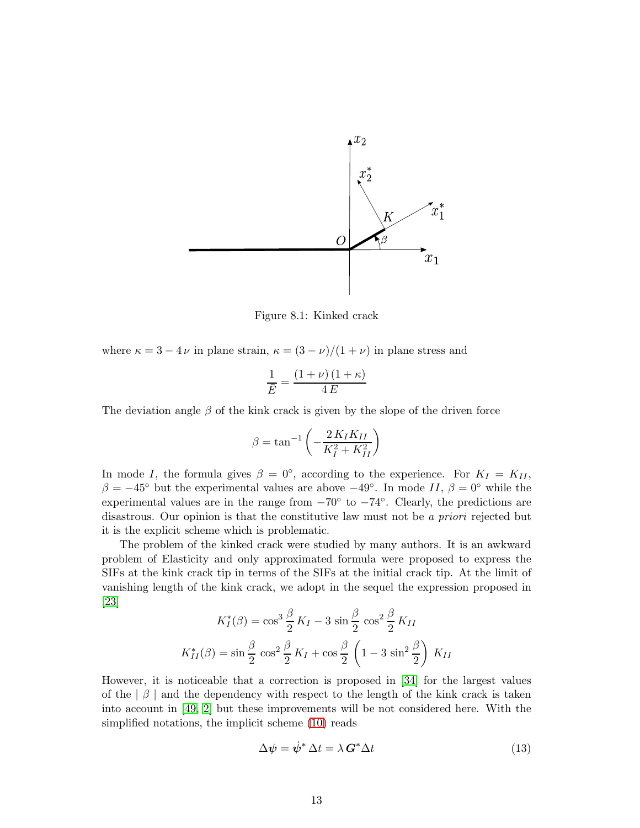

<span id="page-12-0"></span>Figure 8.1: Kinked crack

where  $\kappa = 3 - 4 \nu$  in plane strain,  $\kappa = (3 - \nu)/(1 + \nu)$  in plane stress and

$$
\frac{1}{\bar{E}} = \frac{(1+\nu)(1+\kappa)}{4E}
$$

The deviation angle  $\beta$  of the kink crack is given by the slope of the driven force

$$
\beta = \tan^{-1}\left(-\frac{2K_IK_{II}}{K_I^2 + K_{II}^2}\right)
$$

In mode I, the formula gives  $\beta = 0^{\circ}$ , according to the experience. For  $K_I = K_{II}$ ,  $\beta = -45^{\circ}$  but the experimental values are above  $-49^{\circ}$ . In mode II,  $\beta = 0^{\circ}$  while the experimental values are in the range from  $-70^{\circ}$  to  $-74^{\circ}$ . Clearly, the predictions are disastrous. Our opinion is that the constitutive law must not be a priori rejected but it is the explicit scheme which is problematic.

The problem of the kinked crack were studied by many authors. It is an awkward problem of Elasticity and only approximated formula were proposed to express the SIFs at the kink crack tip in terms of the SIFs at the initial crack tip. At the limit of vanishing length of the kink crack, we adopt in the sequel the expression proposed in [23]

$$
K_I^*(\beta) = \cos^3 \frac{\beta}{2} K_I - 3 \sin \frac{\beta}{2} \cos^2 \frac{\beta}{2} K_{II}
$$

$$
K_{II}^*(\beta) = \sin \frac{\beta}{2} \cos^2 \frac{\beta}{2} K_I + \cos \frac{\beta}{2} \left( 1 - 3 \sin^2 \frac{\beta}{2} \right) K_{II}
$$

However, it is noticeable that a correction is proposed in [34] for the largest values of the  $\beta$  | and the dependency with respect to the length of the kink crack is taken into account in [49, 2] but these improvements will be not considered here. With the simplified notations, the implicit scheme [\(10\)](#page-11-0) reads

<span id="page-12-1"></span>
$$
\Delta \psi = \dot{\psi}^* \, \Delta t = \lambda \, G^* \Delta t \tag{13}
$$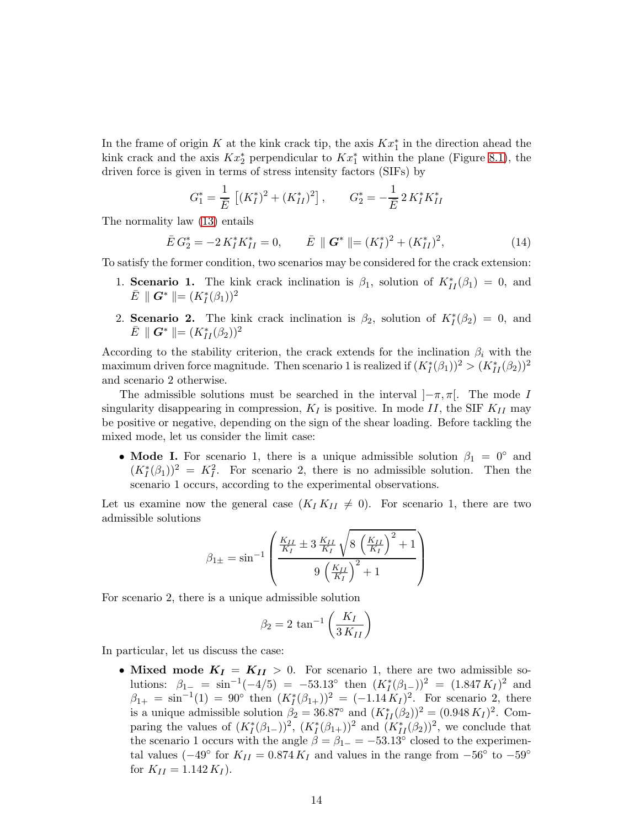In the frame of origin K at the kink crack tip, the axis  $Kx_1^*$  in the direction ahead the kink crack and the axis  $Kx_2^*$  perpendicular to  $Kx_1^*$  within the plane (Figure [8.1\)](#page-12-0), the driven force is given in terms of stress intensity factors (SIFs) by

$$
G_1^* = \frac{1}{\bar{E}} \left[ (K_I^*)^2 + (K_{II}^*)^2 \right], \qquad G_2^* = -\frac{1}{\bar{E}} 2 K_I^* K_{II}^*
$$

The normality law [\(13\)](#page-12-1) entails

<span id="page-13-0"></span>
$$
\bar{E} G_2^* = -2 K_I^* K_{II}^* = 0, \qquad \bar{E} \parallel \mathbf{G}^* \parallel = (K_I^*)^2 + (K_{II}^*)^2, \tag{14}
$$

To satisfy the former condition, two scenarios may be considered for the crack extension:

- 1. **Scenario 1.** The kink crack inclination is  $\beta_1$ , solution of  $K_{II}^*(\beta_1) = 0$ , and  $\bar{E} \parallel G^* \parallel = (K_I^*(\beta_1))^2$
- 2. Scenario 2. The kink crack inclination is  $\beta_2$ , solution of  $K_I^*(\beta_2) = 0$ , and  $\bar{E} \parallel G^* \parallel = (K_{II}^*(\beta_2))^2$

According to the stability criterion, the crack extends for the inclination  $\beta_i$  with the maximum driven force magnitude. Then scenario 1 is realized if  $(K_I^*(\beta_1))^2 > (K_{II}^*(\beta_2))^2$ and scenario 2 otherwise.

The admissible solutions must be searched in the interval  $]-\pi, \pi[$ . The mode I singularity disappearing in compression,  $K_I$  is positive. In mode II, the SIF  $K_{II}$  may be positive or negative, depending on the sign of the shear loading. Before tackling the mixed mode, let us consider the limit case:

• Mode I. For scenario 1, there is a unique admissible solution  $\beta_1 = 0^\circ$  and  $(K_I^*(\beta_1))^2 = K_I^2$ . For scenario 2, there is no admissible solution. Then the scenario 1 occurs, according to the experimental observations.

Let us examine now the general case  $(K_I K_{II} \neq 0)$ . For scenario 1, there are two admissible solutions

$$
\beta_{1\pm} = \sin^{-1}\left(\frac{\frac{K_{II}}{K_I} \pm 3\frac{K_{II}}{K_I} \sqrt{8\left(\frac{K_{II}}{K_I}\right)^2 + 1}}{9\left(\frac{K_{II}}{K_I}\right)^2 + 1}\right)
$$

For scenario 2, there is a unique admissible solution

$$
\beta_2 = 2 \tan^{-1} \left( \frac{K_I}{3 \, K_{II}} \right)
$$

In particular, let us discuss the case:

• Mixed mode  $K_I = K_{II} > 0$ . For scenario 1, there are two admissible solutions:  $\beta_{1-} = \sin^{-1}(-4/5) = -53.13^{\circ}$  then  $(K_I^*(\beta_{1-}))^2 = (1.847 K_I)^2$  and  $\beta_{1+} = \sin^{-1}(1) = 90^{\circ}$  then  $(K_I^*(\beta_{1+}))^2 = (-1.14 \, K_I)^2$ . For scenario 2, there is a unique admissible solution  $\beta_2 = 36.87^\circ$  and  $(K_{II}^*(\beta_2))^2 = (0.948 K_I)^2$ . Comparing the values of  $(K_I^*(\beta_{1-}))^2$ ,  $(K_I^*(\beta_{1+}))^2$  and  $(K_{II}^*(\beta_2))^2$ , we conclude that the scenario 1 occurs with the angle  $\beta = \beta_{1-} = -53.13^{\circ}$  closed to the experimental values ( $-49°$  for  $K_{II} = 0.874 K_I$  and values in the range from  $-56°$  to  $-59°$ for  $K_{II} = 1.142 K_I$ .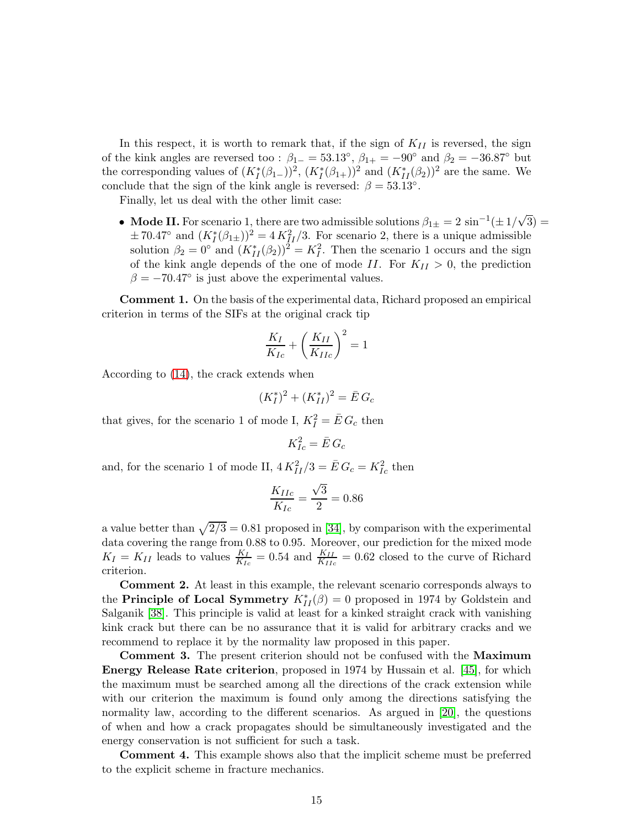In this respect, it is worth to remark that, if the sign of  $K_{II}$  is reversed, the sign of the kink angles are reversed too :  $\beta_{1-} = 53.13^\circ$ ,  $\beta_{1+} = -90^\circ$  and  $\beta_2 = -36.87^\circ$  but the corresponding values of  $(K_I^*(\beta_{1-}))^2$ ,  $(K_I^*(\beta_{1+}))^2$  and  $(K_{II}^*(\beta_2))^2$  are the same. We conclude that the sign of the kink angle is reversed:  $\beta = 53.13^{\circ}$ .

Finally, let us deal with the other limit case:

• Mode II. For scenario 1, there are two admissible solutions  $\beta_{1\pm} = 2 \sin^{-1}(\pm 1/\sqrt{3}) =$  $\pm 70.47^{\circ}$  and  $(K_I^*(\beta_{1\pm}))^2 = 4K_{II}^2/3$ . For scenario 2, there is a unique admissible solution  $\beta_2 = 0^\circ$  and  $(K_{II}^*(\beta_2))^2 = K_I^2$ . Then the scenario 1 occurs and the sign of the kink angle depends of the one of mode II. For  $K_{II} > 0$ , the prediction  $\beta = -70.47^{\circ}$  is just above the experimental values.

Comment 1. On the basis of the experimental data, Richard proposed an empirical criterion in terms of the SIFs at the original crack tip

$$
\frac{K_I}{K_{Ic}} + \left(\frac{K_{II}}{K_{IIc}}\right)^2 = 1
$$

According to [\(14\)](#page-13-0), the crack extends when

$$
(K_I^*)^2 + (K_{II}^*)^2 = \bar{E} \, G_c
$$

that gives, for the scenario 1 of mode I,  $K_I^2 = \bar{E} G_c$  then

$$
K_{Ic}^2 = \bar{E} G_c
$$

and, for the scenario 1 of mode II,  $4K_{II}^2/3 = \bar{E} G_c = K_{Ic}^2$  then

$$
\frac{K_{IIc}}{K_{Ic}}=\frac{\sqrt{3}}{2}=0.86
$$

a value better than  $\sqrt{2/3} = 0.81$  proposed in [34], by comparison with the experimental data covering the range from 0.88 to 0.95. Moreover, our prediction for the mixed mode  $K_I = K_{II}$  leads to values  $\frac{K_I}{K_{Ic}} = 0.54$  and  $\frac{K_{II}}{K_{IIc}} = 0.62$  closed to the curve of Richard criterion.

Comment 2. At least in this example, the relevant scenario corresponds always to the **Principle of Local Symmetry**  $K_{II}^*(\beta) = 0$  proposed in 1974 by Goldstein and Salganik [38]. This principle is valid at least for a kinked straight crack with vanishing kink crack but there can be no assurance that it is valid for arbitrary cracks and we recommend to replace it by the normality law proposed in this paper.

Comment 3. The present criterion should not be confused with the Maximum Energy Release Rate criterion, proposed in 1974 by Hussain et al. [45], for which the maximum must be searched among all the directions of the crack extension while with our criterion the maximum is found only among the directions satisfying the normality law, according to the different scenarios. As argued in [20], the questions of when and how a crack propagates should be simultaneously investigated and the energy conservation is not sufficient for such a task.

Comment 4. This example shows also that the implicit scheme must be preferred to the explicit scheme in fracture mechanics.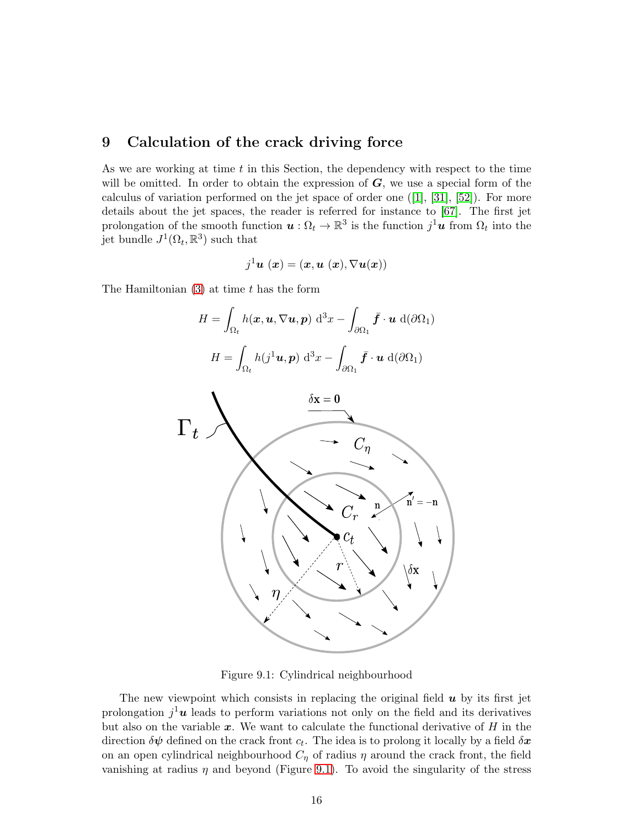## 9 Calculation of the crack driving force

As we are working at time  $t$  in this Section, the dependency with respect to the time will be omitted. In order to obtain the expression of  $G$ , we use a special form of the calculus of variation performed on the jet space of order one  $([1], [31], [52])$  $([1], [31], [52])$  $([1], [31], [52])$  $([1], [31], [52])$  $([1], [31], [52])$  $([1], [31], [52])$  $([1], [31], [52])$ . For more details about the jet spaces, the reader is referred for instance to [\[67\]](#page-25-2). The first jet prolongation of the smooth function  $u : \Omega_t \to \mathbb{R}^3$  is the function  $j^1u$  from  $\Omega_t$  into the jet bundle  $J^1(\Omega_t, \mathbb{R}^3)$  such that

$$
j^1\pmb{u} \ (\pmb{x}) = (\pmb{x}, \pmb{u} \ (\pmb{x}), \nabla \pmb{u} (\pmb{x}))
$$

The Hamiltonian  $(3)$  at time t has the form

$$
H = \int_{\Omega_t} h(\boldsymbol{x}, \boldsymbol{u}, \nabla \boldsymbol{u}, \boldsymbol{p}) \, d^3x - \int_{\partial \Omega_1} \bar{\boldsymbol{f}} \cdot \boldsymbol{u} \, d(\partial \Omega_1)
$$

$$
H = \int_{\Omega_t} h(j^1 \boldsymbol{u}, \boldsymbol{p}) \, d^3x - \int_{\partial \Omega_1} \bar{\boldsymbol{f}} \cdot \boldsymbol{u} \, d(\partial \Omega_1)
$$



<span id="page-15-0"></span>Figure 9.1: Cylindrical neighbourhood

The new viewpoint which consists in replacing the original field  $\boldsymbol{u}$  by its first jet prolongation  $j^1$ **u** leads to perform variations not only on the field and its derivatives but also on the variable  $x$ . We want to calculate the functional derivative of  $H$  in the direction  $\delta\psi$  defined on the crack front  $c_t$ . The idea is to prolong it locally by a field  $\delta\mathbf{x}$ on an open cylindrical neighbourhood  $C_{\eta}$  of radius  $\eta$  around the crack front, the field vanishing at radius  $\eta$  and beyond (Figure [9.1\)](#page-15-0). To avoid the singularity of the stress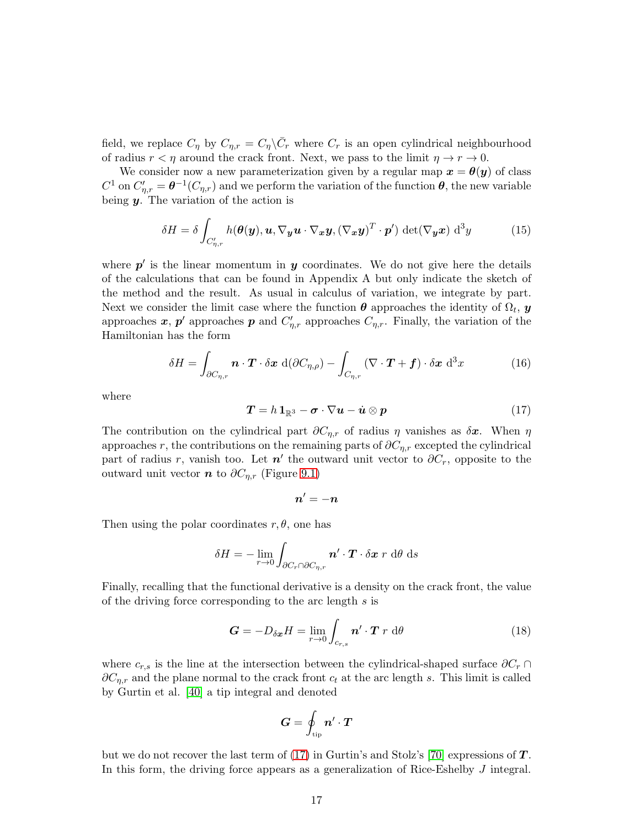field, we replace  $C_{\eta}$  by  $C_{\eta,r} = C_{\eta} \backslash \bar{C}_r$  where  $C_r$  is an open cylindrical neighbourhood of radius  $r < \eta$  around the crack front. Next, we pass to the limit  $\eta \to r \to 0$ .

We consider now a new parameterization given by a regular map  $x = \theta(y)$  of class  $C^1$  on  $C'_{\eta,r} = \theta^{-1}(C_{\eta,r})$  and we perform the variation of the function  $\theta$ , the new variable being  $y$ . The variation of the action is

<span id="page-16-2"></span>
$$
\delta H = \delta \int_{C'_{\eta,r}} h(\boldsymbol{\theta}(\boldsymbol{y}), \boldsymbol{u}, \nabla_{\boldsymbol{y}} \boldsymbol{u} \cdot \nabla_{\boldsymbol{x}} \boldsymbol{y}, (\nabla_{\boldsymbol{x}} \boldsymbol{y})^T \cdot \boldsymbol{p}') \det(\nabla_{\boldsymbol{y}} \boldsymbol{x}) d^3 y \tag{15}
$$

where  $p'$  is the linear momentum in  $y$  coordinates. We do not give here the details of the calculations that can be found in Appendix A but only indicate the sketch of the method and the result. As usual in calculus of variation, we integrate by part. Next we consider the limit case where the function  $\theta$  approaches the identity of  $\Omega_t$ ,  $y$ approaches  $x, p'$  approaches  $p$  and  $C'_{\eta,r}$  approaches  $C_{\eta,r}$ . Finally, the variation of the Hamiltonian has the form

<span id="page-16-3"></span>
$$
\delta H = \int_{\partial C_{\eta,r}} \boldsymbol{n} \cdot \boldsymbol{T} \cdot \delta \boldsymbol{x} \, d(\partial C_{\eta,\rho}) - \int_{C_{\eta,r}} (\nabla \cdot \boldsymbol{T} + \boldsymbol{f}) \cdot \delta \boldsymbol{x} \, d^3 x \tag{16}
$$

where

<span id="page-16-0"></span>
$$
T = h \mathbb{1}_{\mathbb{R}^3} - \sigma \cdot \nabla u - \dot{u} \otimes p \tag{17}
$$

The contribution on the cylindrical part  $\partial C_{\eta,r}$  of radius  $\eta$  vanishes as  $\delta x$ . When  $\eta$ approaches r, the contributions on the remaining parts of  $\partial C_{\eta,r}$  excepted the cylindrical part of radius r, vanish too. Let  $n'$  the outward unit vector to  $\partial C_r$ , opposite to the outward unit vector  $n$  to  $\partial C_{\eta,r}$  (Figure [9.1\)](#page-15-0)

$$
n'=-n
$$

Then using the polar coordinates  $r, \theta$ , one has

$$
\delta H = -\lim_{r \to 0} \int_{\partial C_r \cap \partial C_{\eta,r}} \boldsymbol{n}' \cdot \boldsymbol{T} \cdot \delta \boldsymbol{x} \; r \; \mathrm{d}\theta \; \mathrm{d}s
$$

Finally, recalling that the functional derivative is a density on the crack front, the value of the driving force corresponding to the arc length  $s$  is

<span id="page-16-1"></span>
$$
\mathbf{G} = -D_{\delta \mathbf{x}} H = \lim_{r \to 0} \int_{c_{r,s}} \mathbf{n}' \cdot \mathbf{T} \, r \, \mathrm{d}\theta \tag{18}
$$

where  $c_{r,s}$  is the line at the intersection between the cylindrical-shaped surface  $\partial C_r \cap$  $\partial C_{\eta,r}$  and the plane normal to the crack front  $c_t$  at the arc length s. This limit is called by Gurtin et al. [40] a tip integral and denoted

$$
\boldsymbol{G} = \oint_{\mathrm{tip}} \boldsymbol{n}' \cdot \boldsymbol{T}
$$

but we do not recover the last term of  $(17)$  in Gurtin's and Stolz's [70] expressions of  $T$ . In this form, the driving force appears as a generalization of Rice-Eshelby J integral.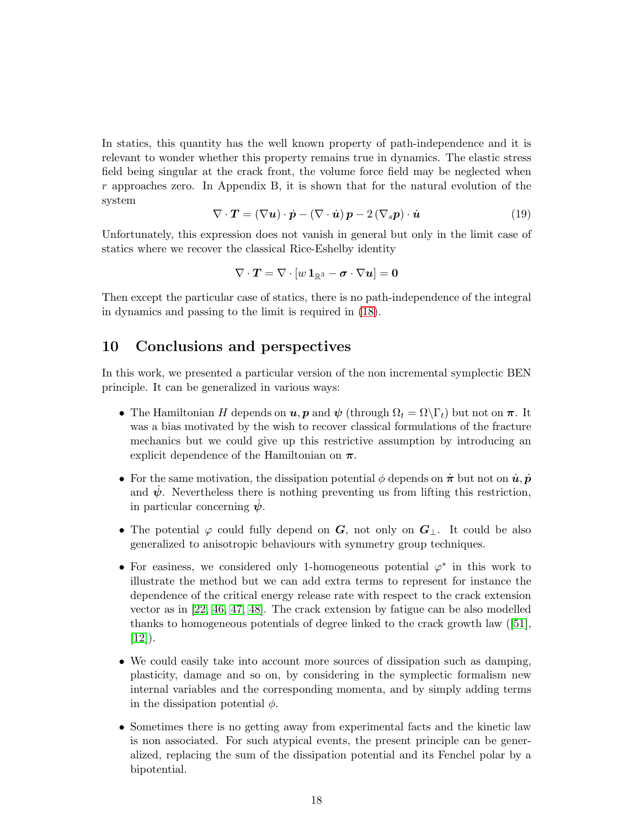In statics, this quantity has the well known property of path-independence and it is relevant to wonder whether this property remains true in dynamics. The elastic stress field being singular at the crack front, the volume force field may be neglected when  $r$  approaches zero. In Appendix B, it is shown that for the natural evolution of the system

<span id="page-17-0"></span>
$$
\nabla \cdot \mathbf{T} = (\nabla \mathbf{u}) \cdot \dot{\mathbf{p}} - (\nabla \cdot \dot{\mathbf{u}}) \mathbf{p} - 2 (\nabla_s \mathbf{p}) \cdot \dot{\mathbf{u}} \tag{19}
$$

Unfortunately, this expression does not vanish in general but only in the limit case of statics where we recover the classical Rice-Eshelby identity

$$
\nabla \cdot \boldsymbol{T} = \nabla \cdot [w \, \mathbf{1}_{\mathbb{R}^3} - \boldsymbol{\sigma} \cdot \nabla u] = \mathbf{0}
$$

Then except the particular case of statics, there is no path-independence of the integral in dynamics and passing to the limit is required in [\(18\)](#page-16-1).

## 10 Conclusions and perspectives

In this work, we presented a particular version of the non incremental symplectic BEN principle. It can be generalized in various ways:

- The Hamiltonian H depends on  $u, p$  and  $\psi$  (through  $\Omega_t = \Omega \backslash \Gamma_t$ ) but not on  $\pi$ . It was a bias motivated by the wish to recover classical formulations of the fracture mechanics but we could give up this restrictive assumption by introducing an explicit dependence of the Hamiltonian on  $\pi$ .
- For the same motivation, the dissipation potential  $\phi$  depends on  $\dot{\pi}$  but not on  $\dot{u}, \dot{p}$ and  $\dot{\psi}$ . Nevertheless there is nothing preventing us from lifting this restriction, in particular concerning  $\dot{\psi}$ .
- The potential  $\varphi$  could fully depend on G, not only on  $G_{\perp}$ . It could be also generalized to anisotropic behaviours with symmetry group techniques.
- For easiness, we considered only 1-homogeneous potential  $\varphi^*$  in this work to illustrate the method but we can add extra terms to represent for instance the dependence of the critical energy release rate with respect to the crack extension vector as in [22, 46, 47, 48]. The crack extension by fatigue can be also modelled thanks to homogeneous potentials of degree linked to the crack growth law ([51],  $[12]$ ).
- We could easily take into account more sources of dissipation such as damping, plasticity, damage and so on, by considering in the symplectic formalism new internal variables and the corresponding momenta, and by simply adding terms in the dissipation potential  $\phi$ .
- Sometimes there is no getting away from experimental facts and the kinetic law is non associated. For such atypical events, the present principle can be generalized, replacing the sum of the dissipation potential and its Fenchel polar by a bipotential.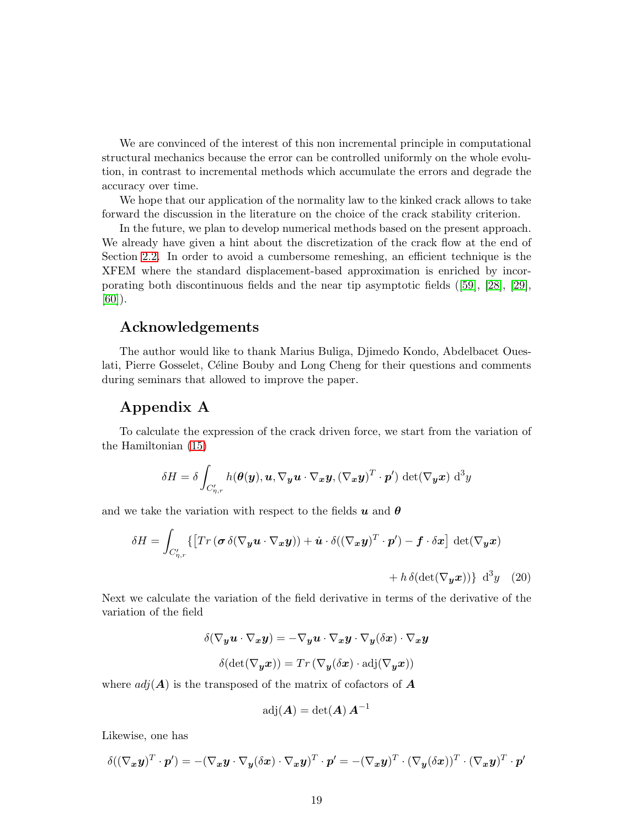We are convinced of the interest of this non incremental principle in computational structural mechanics because the error can be controlled uniformly on the whole evolution, in contrast to incremental methods which accumulate the errors and degrade the accuracy over time.

We hope that our application of the normality law to the kinked crack allows to take forward the discussion in the literature on the choice of the crack stability criterion.

In the future, we plan to develop numerical methods based on the present approach. We already have given a hint about the discretization of the crack flow at the end of Section [2.2.](#page-3-0) In order to avoid a cumbersome remeshing, an efficient technique is the XFEM where the standard displacement-based approximation is enriched by incorporating both discontinuous fields and the near tip asymptotic fields ([59], [28], [29], [60]).

## Acknowledgements

The author would like to thank Marius Buliga, Djimedo Kondo, Abdelbacet Oueslati, Pierre Gosselet, Céline Bouby and Long Cheng for their questions and comments during seminars that allowed to improve the paper.

## Appendix A

To calculate the expression of the crack driven force, we start from the variation of the Hamiltonian [\(15\)](#page-16-2)

$$
\delta H = \delta \int_{C'_{\eta,r}} h(\boldsymbol{\theta}(\boldsymbol{y}), \boldsymbol{u}, \nabla_{\boldsymbol{y}} \boldsymbol{u} \cdot \nabla_{\boldsymbol{x}} \boldsymbol{y}, (\nabla_{\boldsymbol{x}} \boldsymbol{y})^T \cdot \boldsymbol{p}') \det(\nabla_{\boldsymbol{y}} \boldsymbol{x}) d^3 y
$$

and we take the variation with respect to the fields  $u$  and  $\theta$ 

$$
\delta H = \int_{C'_{\eta,r}} \{ \left[ Tr \left( \boldsymbol{\sigma} \, \delta (\nabla_{\boldsymbol{y}} \boldsymbol{u} \cdot \nabla_{\boldsymbol{x}} \boldsymbol{y}) \right) + \dot{\boldsymbol{u}} \cdot \delta ((\nabla_{\boldsymbol{x}} \boldsymbol{y})^T \cdot \boldsymbol{p}') - \boldsymbol{f} \cdot \delta \boldsymbol{x} \right] \, \det(\nabla_{\boldsymbol{y}} \boldsymbol{x}) \right. \\ \left. + h \, \delta (\det(\nabla_{\boldsymbol{y}} \boldsymbol{x})) \right\} \, \mathrm{d}^3 y \quad (20)
$$

<span id="page-18-0"></span>Next we calculate the variation of the field derivative in terms of the derivative of the variation of the field

$$
\begin{array}{c} \delta(\nabla_{\pmb{y}} \pmb{u} \cdot \nabla_{\pmb{x}} \pmb{y}) = -\nabla_{\pmb{y}} \pmb{u} \cdot \nabla_{\pmb{x}} \pmb{y} \cdot \nabla_{\pmb{y}} (\delta \pmb{x}) \cdot \nabla_{\pmb{x}} \pmb{y} \\ \\ \delta(\det(\nabla_{\pmb{y}} \pmb{x})) = Tr \left(\nabla_{\pmb{y}} (\delta \pmb{x}) \cdot \text{adj}(\nabla_{\pmb{y}} \pmb{x}) \right) \end{array}
$$

where  $adj(A)$  is the transposed of the matrix of cofactors of A

$$
\operatorname{adj}(A) = \det(A) A^{-1}
$$

Likewise, one has

$$
\delta((\nabla_{\bm{x}}\bm{y})^T\cdot\bm{p}')=-(\nabla_{\bm{x}}\bm{y}\cdot\nabla_{\bm{y}}(\delta\bm{x})\cdot\nabla_{\bm{x}}\bm{y})^T\cdot\bm{p}'=-(\nabla_{\bm{x}}\bm{y})^T\cdot(\nabla_{\bm{y}}(\delta\bm{x}))^T\cdot(\nabla_{\bm{x}}\bm{y})^T\cdot\bm{p}'
$$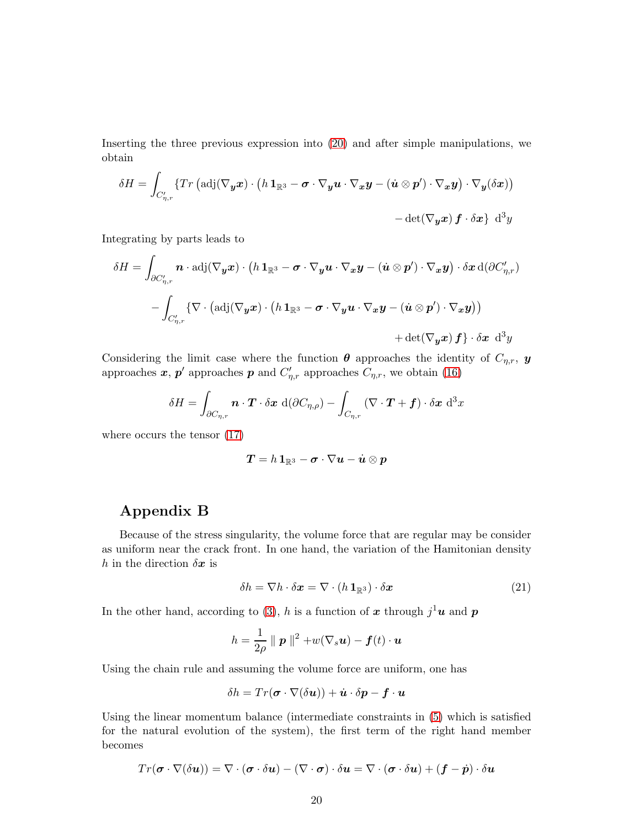Inserting the three previous expression into [\(20\)](#page-18-0) and after simple manipulations, we obtain

$$
\delta H = \int_{C'_{\eta,r}} \{ Tr \left( \mathrm{adj}(\nabla_y x) \cdot \left( h \mathbf{1}_{\mathbb{R}^3} - \boldsymbol{\sigma} \cdot \nabla_y u \cdot \nabla_x y - (\dot{u} \otimes p') \cdot \nabla_x y \right) \cdot \nabla_y (\delta x) \} - \det(\nabla_y x) f \cdot \delta x \} d^3y
$$

Integrating by parts leads to

$$
\delta H = \int_{\partial C'_{\eta,r}} \boldsymbol{n} \cdot \text{adj}(\nabla_{\boldsymbol{y}} \boldsymbol{x}) \cdot (h \mathbf{1}_{\mathbb{R}^3} - \boldsymbol{\sigma} \cdot \nabla_{\boldsymbol{y}} \boldsymbol{u} \cdot \nabla_{\boldsymbol{x}} \boldsymbol{y} - (\dot{\boldsymbol{u}} \otimes \boldsymbol{p}') \cdot \nabla_{\boldsymbol{x}} \boldsymbol{y}) \cdot \delta \boldsymbol{x} \, \text{d}(\partial C'_{\eta,r})
$$

$$
- \int_{C'_{\eta,r}} \{ \nabla \cdot (\text{adj}(\nabla_{\boldsymbol{y}} \boldsymbol{x}) \cdot (h \mathbf{1}_{\mathbb{R}^3} - \boldsymbol{\sigma} \cdot \nabla_{\boldsymbol{y}} \boldsymbol{u} \cdot \nabla_{\boldsymbol{x}} \boldsymbol{y} - (\dot{\boldsymbol{u}} \otimes \boldsymbol{p}') \cdot \nabla_{\boldsymbol{x}} \boldsymbol{y}) \}
$$

$$
+ \det(\nabla_{\boldsymbol{y}} \boldsymbol{x}) \, \boldsymbol{f} \} \cdot \delta \boldsymbol{x} \, \text{ d}^3 \boldsymbol{y}
$$

Considering the limit case where the function  $\boldsymbol{\theta}$  approaches the identity of  $C_{\eta,r}$ ,  $\boldsymbol{y}$ approaches  $x, p'$  approaches  $p$  and  $C'_{\eta,r}$  approaches  $C_{\eta,r}$ , we obtain [\(16\)](#page-16-3)

$$
\delta H = \int_{\partial C_{\eta,r}} \boldsymbol{n} \cdot \boldsymbol{T} \cdot \delta \boldsymbol{x} \, d(\partial C_{\eta,\rho}) - \int_{C_{\eta,r}} (\nabla \cdot \boldsymbol{T} + \boldsymbol{f}) \cdot \delta \boldsymbol{x} \, d^3x
$$

where occurs the tensor [\(17\)](#page-16-0)

$$
\boldsymbol{T} = h\,\boldsymbol{1}_{\mathbb{R}^3} - \boldsymbol{\sigma}\cdot\nabla\boldsymbol{u} - \dot{\boldsymbol{u}}\otimes\boldsymbol{p}
$$

## Appendix B

Because of the stress singularity, the volume force that are regular may be consider as uniform near the crack front. In one hand, the variation of the Hamitonian density h in the direction  $\delta x$  is

<span id="page-19-0"></span>
$$
\delta h = \nabla h \cdot \delta \mathbf{x} = \nabla \cdot (h \, \mathbf{1}_{\mathbb{R}^3}) \cdot \delta \mathbf{x} \tag{21}
$$

In the other hand, according to [\(3\)](#page-6-0), h is a function of x through  $j^1$ **u** and p

$$
h = \frac{1}{2\rho} \parallel \mathbf{p} \parallel^2 + w(\nabla_s \mathbf{u}) - \mathbf{f}(t) \cdot \mathbf{u}
$$

Using the chain rule and assuming the volume force are uniform, one has

$$
\delta h = Tr(\boldsymbol{\sigma} \cdot \nabla(\delta \boldsymbol{u})) + \dot{\boldsymbol{u}} \cdot \delta \boldsymbol{p} - \boldsymbol{f} \cdot \boldsymbol{u}
$$

Using the linear momentum balance (intermediate constraints in [\(5\)](#page-7-1) which is satisfied for the natural evolution of the system), the first term of the right hand member becomes

$$
Tr(\boldsymbol{\sigma}\cdot\nabla(\delta\boldsymbol{u}))=\nabla\cdot(\boldsymbol{\sigma}\cdot\delta\boldsymbol{u})-(\nabla\cdot\boldsymbol{\sigma})\cdot\delta\boldsymbol{u}=\nabla\cdot(\boldsymbol{\sigma}\cdot\delta\boldsymbol{u})+(\boldsymbol{f}-\dot{\boldsymbol{p}})\cdot\delta\boldsymbol{u}
$$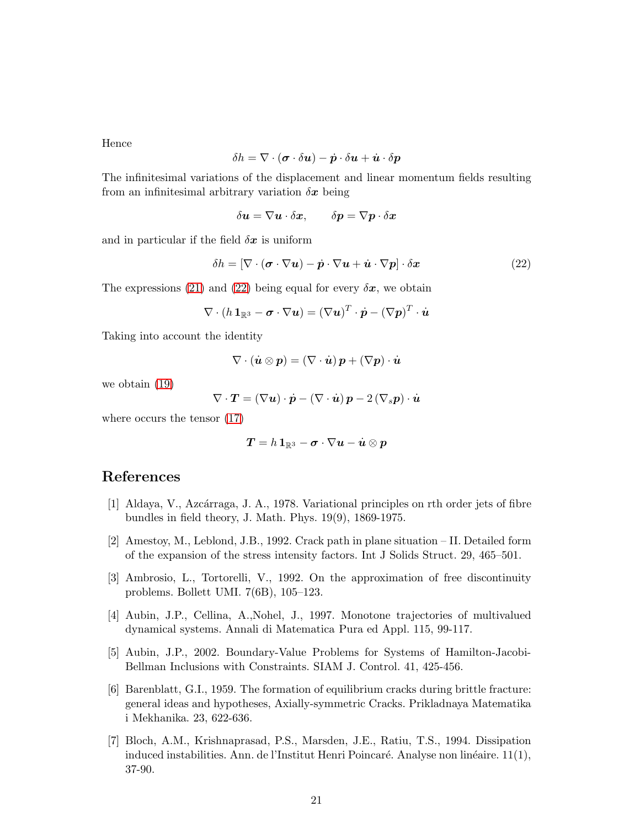Hence

$$
\delta h = \nabla \cdot (\boldsymbol{\sigma} \cdot \delta \boldsymbol{u}) - \dot{\boldsymbol{p}} \cdot \delta \boldsymbol{u} + \dot{\boldsymbol{u}} \cdot \delta \boldsymbol{p}
$$

The infinitesimal variations of the displacement and linear momentum fields resulting from an infinitesimal arbitrary variation  $\delta x$  being

$$
\delta \boldsymbol{u} = \nabla \boldsymbol{u} \cdot \delta \boldsymbol{x}, \qquad \delta \boldsymbol{p} = \nabla \boldsymbol{p} \cdot \delta \boldsymbol{x}
$$

and in particular if the field  $\delta x$  is uniform

<span id="page-20-5"></span>
$$
\delta h = [\nabla \cdot (\boldsymbol{\sigma} \cdot \nabla \boldsymbol{u}) - \dot{\boldsymbol{p}} \cdot \nabla \boldsymbol{u} + \dot{\boldsymbol{u}} \cdot \nabla \boldsymbol{p}] \cdot \delta \boldsymbol{x} \tag{22}
$$

The expressions [\(21\)](#page-19-0) and [\(22\)](#page-20-5) being equal for every  $\delta x$ , we obtain

$$
\nabla \cdot (h \, \mathbf{1}_{\mathbb{R}^3} - \boldsymbol{\sigma} \cdot \nabla \boldsymbol{u}) = (\nabla \boldsymbol{u})^T \cdot \dot{\boldsymbol{p}} - (\nabla \boldsymbol{p})^T \cdot \dot{\boldsymbol{u}}
$$

Taking into account the identity

$$
\nabla \cdot (\dot{\boldsymbol{u}} \otimes \boldsymbol{p}) = (\nabla \cdot \dot{\boldsymbol{u}}) \, \boldsymbol{p} + (\nabla \boldsymbol{p}) \cdot \dot{\boldsymbol{u}}
$$

we obtain [\(19\)](#page-17-0)

$$
\nabla \cdot \boldsymbol{T} = (\nabla \boldsymbol{u}) \cdot \dot{\boldsymbol{p}} - (\nabla \cdot \dot{\boldsymbol{u}}) \, \boldsymbol{p} - 2 \, (\nabla_s \boldsymbol{p}) \cdot \dot{\boldsymbol{u}}
$$

where occurs the tensor [\(17\)](#page-16-0)

$$
T = h\,1_{\mathbb{R}^3} - \sigma \cdot \nabla u - \dot{u} \otimes p
$$

## <span id="page-20-4"></span>References

- [1] Aldaya, V., Azcárraga, J. A., 1978. Variational principles on rth order jets of fibre bundles in field theory, J. Math. Phys. 19(9), 1869-1975.
- [2] Amestoy, M., Leblond, J.B., 1992. Crack path in plane situation II. Detailed form of the expansion of the stress intensity factors. Int J Solids Struct. 29, 465–501.
- <span id="page-20-0"></span>[3] Ambrosio, L., Tortorelli, V., 1992. On the approximation of free discontinuity problems. Bollett UMI. 7(6B), 105–123.
- <span id="page-20-2"></span><span id="page-20-1"></span>[4] Aubin, J.P., Cellina, A.,Nohel, J., 1997. Monotone trajectories of multivalued dynamical systems. Annali di Matematica Pura ed Appl. 115, 99-117.
- [5] Aubin, J.P., 2002. Boundary-Value Problems for Systems of Hamilton-Jacobi-Bellman Inclusions with Constraints. SIAM J. Control. 41, 425-456.
- [6] Barenblatt, G.I., 1959. The formation of equilibrium cracks during brittle fracture: general ideas and hypotheses, Axially-symmetric Cracks. Prikladnaya Matematika i Mekhanika. 23, 622-636.
- <span id="page-20-3"></span>[7] Bloch, A.M., Krishnaprasad, P.S., Marsden, J.E., Ratiu, T.S., 1994. Dissipation induced instabilities. Ann. de l'Institut Henri Poincaré. Analyse non linéaire. 11(1), 37-90.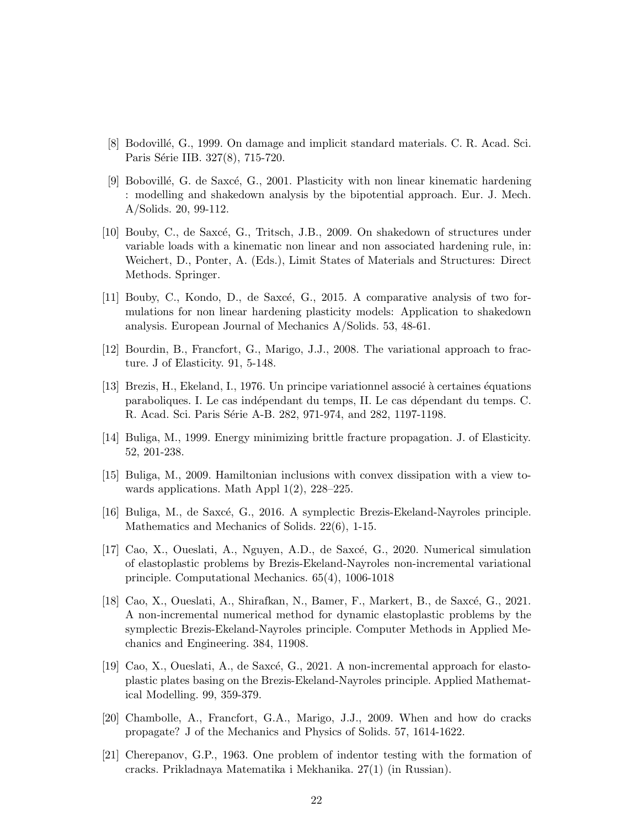- <span id="page-21-1"></span>[8] Bodovillé, G., 1999. On damage and implicit standard materials. C. R. Acad. Sci. Paris Série IIB. 327(8), 715-720.
- [9] Bobovillé, G. de Saxcé, G., 2001. Plasticity with non linear kinematic hardening : modelling and shakedown analysis by the bipotential approach. Eur. J. Mech. A/Solids. 20, 99-112.
- [10] Bouby, C., de Saxcé, G., Tritsch, J.B., 2009. On shakedown of structures under variable loads with a kinematic non linear and non associated hardening rule, in: Weichert, D., Ponter, A. (Eds.), Limit States of Materials and Structures: Direct Methods. Springer.
- [11] Bouby, C., Kondo, D., de Saxcé, G., 2015. A comparative analysis of two formulations for non linear hardening plasticity models: Application to shakedown analysis. European Journal of Mechanics A/Solids. 53, 48-61.
- [12] Bourdin, B., Francfort, G., Marigo, J.J., 2008. The variational approach to fracture. J of Elasticity. 91, 5-148.
- [13] Brezis, H., Ekeland, I., 1976. Un principe variationnel associé à certaines équations paraboliques. I. Le cas indépendant du temps, II. Le cas dépendant du temps. C. R. Acad. Sci. Paris Série A-B. 282, 971-974, and 282, 1197-1198.
- [14] Buliga, M., 1999. Energy minimizing brittle fracture propagation. J. of Elasticity. 52, 201-238.
- <span id="page-21-0"></span>[15] Buliga, M., 2009. Hamiltonian inclusions with convex dissipation with a view towards applications. Math Appl 1(2), 228–225.
- [16] Buliga, M., de Saxcé, G., 2016. A symplectic Brezis-Ekeland-Nayroles principle. Mathematics and Mechanics of Solids. 22(6), 1-15.
- [17] Cao, X., Oueslati, A., Nguyen, A.D., de Saxc´e, G., 2020. Numerical simulation of elastoplastic problems by Brezis-Ekeland-Nayroles non-incremental variational principle. Computational Mechanics. 65(4), 1006-1018
- [18] Cao, X., Oueslati, A., Shirafkan, N., Bamer, F., Markert, B., de Saxcé, G., 2021. A non-incremental numerical method for dynamic elastoplastic problems by the symplectic Brezis-Ekeland-Nayroles principle. Computer Methods in Applied Mechanics and Engineering. 384, 11908.
- [19] Cao, X., Oueslati, A., de Saxcé, G., 2021. A non-incremental approach for elastoplastic plates basing on the Brezis-Ekeland-Nayroles principle. Applied Mathematical Modelling. 99, 359-379.
- [20] Chambolle, A., Francfort, G.A., Marigo, J.J., 2009. When and how do cracks propagate? J of the Mechanics and Physics of Solids. 57, 1614-1622.
- [21] Cherepanov, G.P., 1963. One problem of indentor testing with the formation of cracks. Prikladnaya Matematika i Mekhanika. 27(1) (in Russian).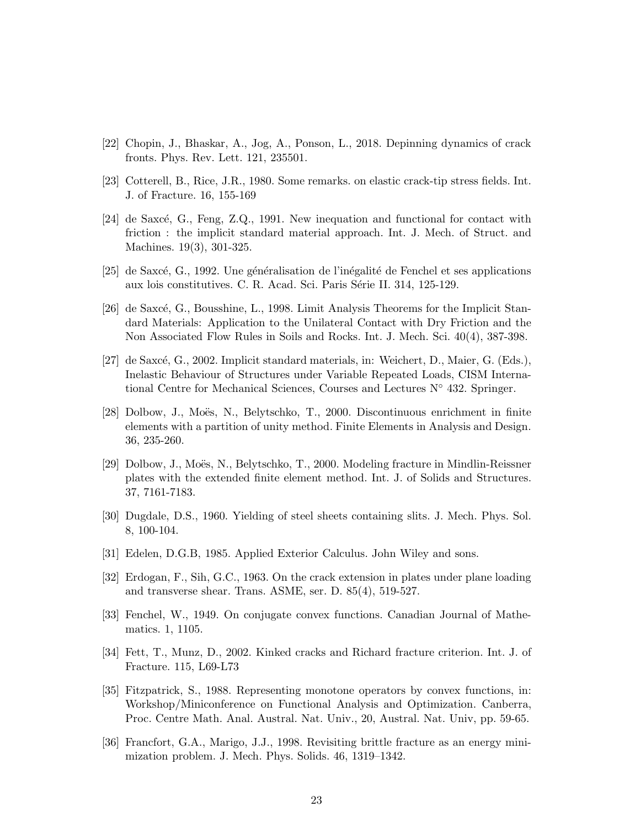- [22] Chopin, J., Bhaskar, A., Jog, A., Ponson, L., 2018. Depinning dynamics of crack fronts. Phys. Rev. Lett. 121, 235501.
- <span id="page-22-0"></span>[23] Cotterell, B., Rice, J.R., 1980. Some remarks. on elastic crack-tip stress fields. Int. J. of Fracture. 16, 155-169
- $[24]$  de Saxcé, G., Feng, Z.Q., 1991. New inequation and functional for contact with friction : the implicit standard material approach. Int. J. Mech. of Struct. and Machines. 19(3), 301-325.
- [25] de Saxcé, G., 1992. Une généralisation de l'inégalité de Fenchel et ses applications aux lois constitutives. C. R. Acad. Sci. Paris Série II. 314, 125-129.
- [26] de Saxcé, G., Bousshine, L., 1998. Limit Analysis Theorems for the Implicit Standard Materials: Application to the Unilateral Contact with Dry Friction and the Non Associated Flow Rules in Soils and Rocks. Int. J. Mech. Sci. 40(4), 387-398.
- <span id="page-22-1"></span>[27] de Saxcé, G., 2002. Implicit standard materials, in: Weichert, D., Maier, G. (Eds.), Inelastic Behaviour of Structures under Variable Repeated Loads, CISM International Centre for Mechanical Sciences, Courses and Lectures  $N^{\circ}$  432. Springer.
- [28] Dolbow, J., Moës, N., Belytschko, T., 2000. Discontinuous enrichment in finite elements with a partition of unity method. Finite Elements in Analysis and Design. 36, 235-260.
- [29] Dolbow, J., Moës, N., Belytschko, T., 2000. Modeling fracture in Mindlin-Reissner plates with the extended finite element method. Int. J. of Solids and Structures. 37, 7161-7183.
- <span id="page-22-2"></span>[30] Dugdale, D.S., 1960. Yielding of steel sheets containing slits. J. Mech. Phys. Sol. 8, 100-104.
- [31] Edelen, D.G.B, 1985. Applied Exterior Calculus. John Wiley and sons.
- [32] Erdogan, F., Sih, G.C., 1963. On the crack extension in plates under plane loading and transverse shear. Trans. ASME, ser. D. 85(4), 519-527.
- [33] Fenchel, W., 1949. On conjugate convex functions. Canadian Journal of Mathematics. 1, 1105.
- [34] Fett, T., Munz, D., 2002. Kinked cracks and Richard fracture criterion. Int. J. of Fracture. 115, L69-L73
- [35] Fitzpatrick, S., 1988. Representing monotone operators by convex functions, in: Workshop/Miniconference on Functional Analysis and Optimization. Canberra, Proc. Centre Math. Anal. Austral. Nat. Univ., 20, Austral. Nat. Univ, pp. 59-65.
- [36] Francfort, G.A., Marigo, J.J., 1998. Revisiting brittle fracture as an energy minimization problem. J. Mech. Phys. Solids. 46, 1319–1342.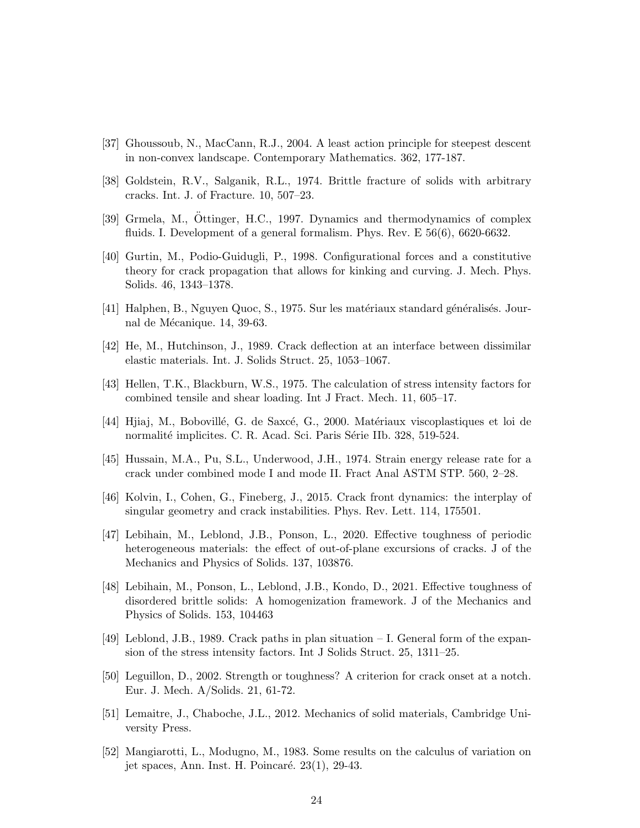- [37] Ghoussoub, N., MacCann, R.J., 2004. A least action principle for steepest descent in non-convex landscape. Contemporary Mathematics. 362, 177-187.
- [38] Goldstein, R.V., Salganik, R.L., 1974. Brittle fracture of solids with arbitrary cracks. Int. J. of Fracture. 10, 507–23.
- [39] Grmela, M., Ottinger, H.C., 1997. Dynamics and thermodynamics of complex fluids. I. Development of a general formalism. Phys. Rev. E 56(6), 6620-6632.
- [40] Gurtin, M., Podio-Guidugli, P., 1998. Configurational forces and a constitutive theory for crack propagation that allows for kinking and curving. J. Mech. Phys. Solids. 46, 1343–1378.
- [41] Halphen, B., Nguyen Quoc, S., 1975. Sur les matériaux standard généralisés. Journal de Mécanique. 14, 39-63.
- [42] He, M., Hutchinson, J., 1989. Crack deflection at an interface between dissimilar elastic materials. Int. J. Solids Struct. 25, 1053–1067.
- [43] Hellen, T.K., Blackburn, W.S., 1975. The calculation of stress intensity factors for combined tensile and shear loading. Int J Fract. Mech. 11, 605–17.
- [44] Hijaj, M., Bobovillé, G. de Saxcé, G., 2000. Matériaux viscoplastiques et loi de normalité implicites. C. R. Acad. Sci. Paris Série IIb. 328, 519-524.
- [45] Hussain, M.A., Pu, S.L., Underwood, J.H., 1974. Strain energy release rate for a crack under combined mode I and mode II. Fract Anal ASTM STP. 560, 2–28.
- [46] Kolvin, I., Cohen, G., Fineberg, J., 2015. Crack front dynamics: the interplay of singular geometry and crack instabilities. Phys. Rev. Lett. 114, 175501.
- [47] Lebihain, M., Leblond, J.B., Ponson, L., 2020. Effective toughness of periodic heterogeneous materials: the effect of out-of-plane excursions of cracks. J of the Mechanics and Physics of Solids. 137, 103876.
- [48] Lebihain, M., Ponson, L., Leblond, J.B., Kondo, D., 2021. Effective toughness of disordered brittle solids: A homogenization framework. J of the Mechanics and Physics of Solids. 153, 104463
- [49] Leblond, J.B., 1989. Crack paths in plan situation I. General form of the expansion of the stress intensity factors. Int J Solids Struct. 25, 1311–25.
- [50] Leguillon, D., 2002. Strength or toughness? A criterion for crack onset at a notch. Eur. J. Mech. A/Solids. 21, 61-72.
- [51] Lemaitre, J., Chaboche, J.L., 2012. Mechanics of solid materials, Cambridge University Press.
- <span id="page-23-0"></span>[52] Mangiarotti, L., Modugno, M., 1983. Some results on the calculus of variation on jet spaces, Ann. Inst. H. Poincaré.  $23(1)$ , 29-43.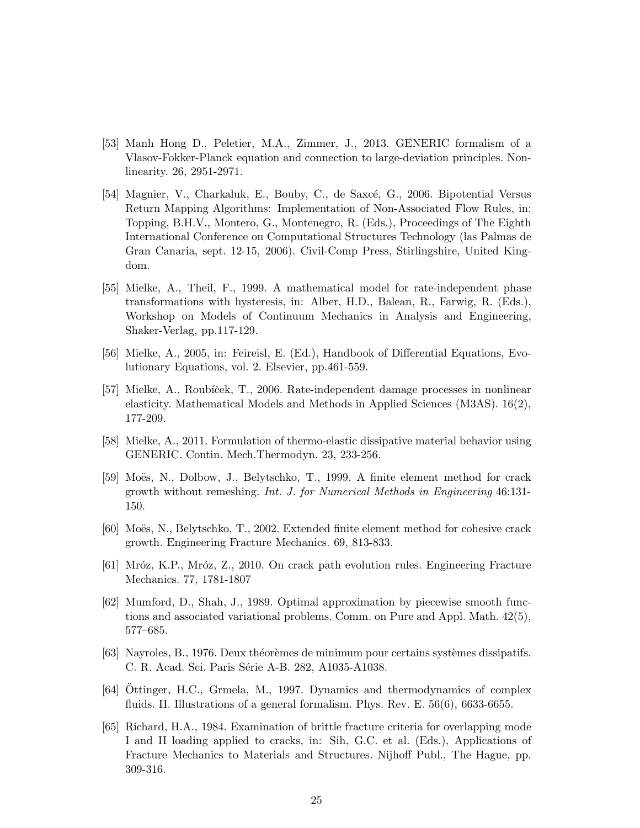- [53] Manh Hong D., Peletier, M.A., Zimmer, J., 2013. GENERIC formalism of a Vlasov-Fokker-Planck equation and connection to large-deviation principles. Nonlinearity. 26, 2951-2971.
- [54] Magnier, V., Charkaluk, E., Bouby, C., de Saxcé, G., 2006. Bipotential Versus Return Mapping Algorithms: Implementation of Non-Associated Flow Rules, in: Topping, B.H.V., Montero, G., Montenegro, R. (Eds.), Proceedings of The Eighth International Conference on Computational Structures Technology (las Palmas de Gran Canaria, sept. 12-15, 2006). Civil-Comp Press, Stirlingshire, United Kingdom.
- <span id="page-24-0"></span>[55] Mielke, A., Theil, F., 1999. A mathematical model for rate-independent phase transformations with hysteresis, in: Alber, H.D., Balean, R., Farwig, R. (Eds.), Workshop on Models of Continuum Mechanics in Analysis and Engineering, Shaker-Verlag, pp.117-129.
- <span id="page-24-2"></span><span id="page-24-1"></span>[56] Mielke, A., 2005, in: Feireisl, E. (Ed.), Handbook of Differential Equations, Evolutionary Equations, vol. 2. Elsevier, pp.461-559.
- [57] Mielke, A., Roubíček, T., 2006. Rate-independent damage processes in nonlinear elasticity. Mathematical Models and Methods in Applied Sciences (M3AS). 16(2), 177-209.
- [58] Mielke, A., 2011. Formulation of thermo-elastic dissipative material behavior using GENERIC. Contin. Mech.Thermodyn. 23, 233-256.
- [59] Moës, N., Dolbow, J., Belytschko, T., 1999. A finite element method for crack growth without remeshing. Int. J. for Numerical Methods in Engineering 46:131- 150.
- [60] Moës, N., Belytschko, T., 2002. Extended finite element method for cohesive crack growth. Engineering Fracture Mechanics. 69, 813-833.
- [61] Mróz, K.P., Mróz, Z., 2010. On crack path evolution rules. Engineering Fracture Mechanics. 77, 1781-1807
- [62] Mumford, D., Shah, J., 1989. Optimal approximation by piecewise smooth functions and associated variational problems. Comm. on Pure and Appl. Math. 42(5), 577–685.
- [63] Nayroles, B., 1976. Deux théorèmes de minimum pour certains systèmes dissipatifs. C. R. Acad. Sci. Paris Série A-B. 282, A1035-A1038.
- $[64]$  Ottinger, H.C., Grmela, M., 1997. Dynamics and thermodynamics of complex fluids. II. Illustrations of a general formalism. Phys. Rev. E. 56(6), 6633-6655.
- [65] Richard, H.A., 1984. Examination of brittle fracture criteria for overlapping mode I and II loading applied to cracks, in: Sih, G.C. et al. (Eds.), Applications of Fracture Mechanics to Materials and Structures. Nijhoff Publ., The Hague, pp. 309-316.